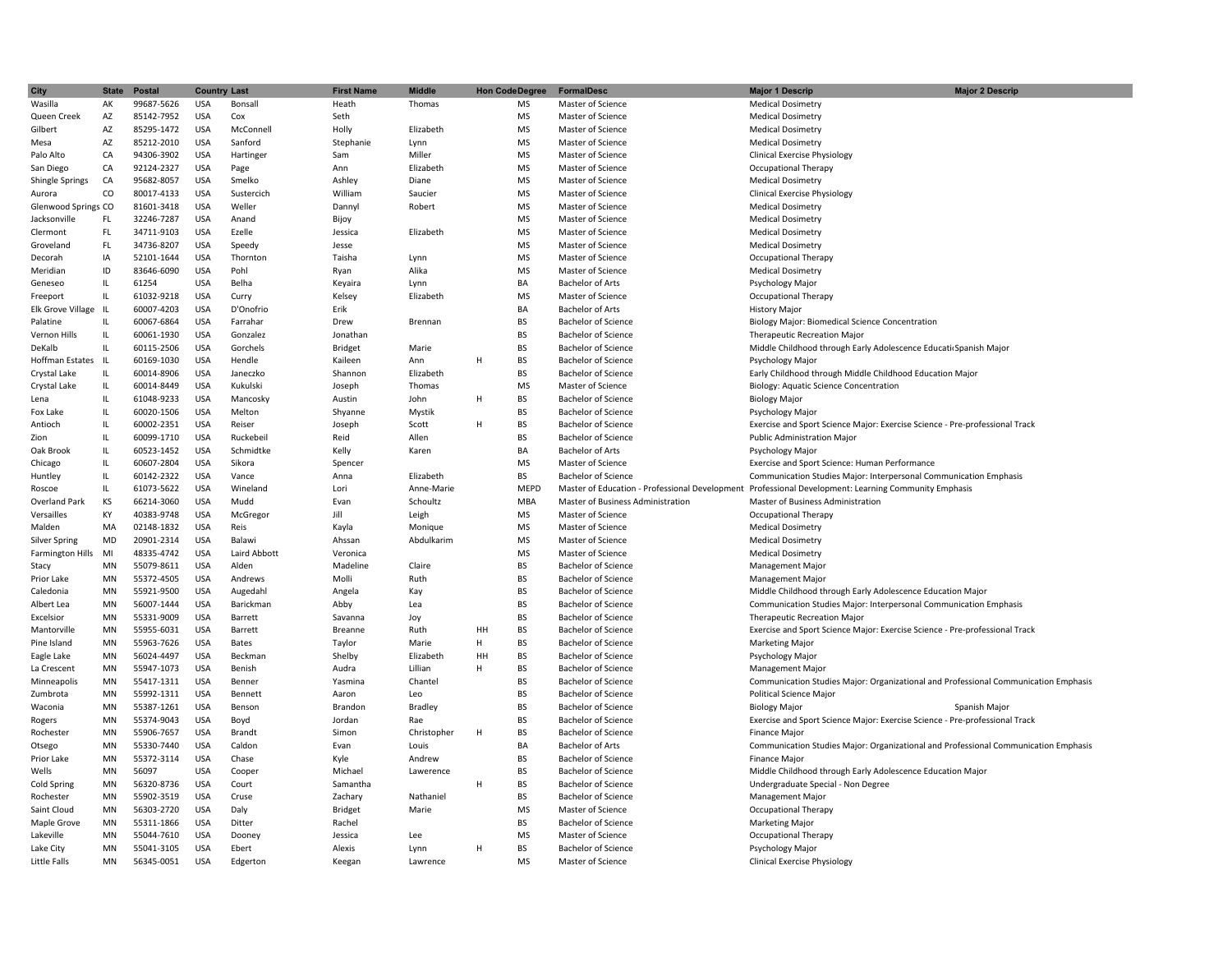| <b>City</b>             | <b>State</b>                      | <b>Postal</b> | <b>Country Last</b> |              | <b>First Name</b> | <b>Middle</b> | <b>Hon Code Degree</b> | <b>FormalDesc</b>                              | <b>Major 2 Descrip</b><br><b>Major 1 Descrip</b>                                    |
|-------------------------|-----------------------------------|---------------|---------------------|--------------|-------------------|---------------|------------------------|------------------------------------------------|-------------------------------------------------------------------------------------|
| Wasilla                 | AK                                | 99687-5626    | <b>USA</b>          | Bonsall      | Heath             | Thomas        | <b>MS</b>              | Master of Science                              | <b>Medical Dosimetry</b>                                                            |
|                         |                                   |               | <b>USA</b>          | Cox          |                   |               | <b>MS</b>              | Master of Science                              |                                                                                     |
| Queen Creek             | AZ                                | 85142-7952    |                     |              | Seth              |               |                        |                                                | <b>Medical Dosimetry</b>                                                            |
| Gilbert                 | AZ                                | 85295-1472    | <b>USA</b>          | McConnell    | Holly             | Elizabeth     | <b>MS</b>              | Master of Science                              | <b>Medical Dosimetry</b>                                                            |
| Mesa                    | AZ                                | 85212-2010    | <b>USA</b>          | Sanford      | Stephanie         | Lynn          | <b>MS</b>              | Master of Science                              | <b>Medical Dosimetry</b>                                                            |
| Palo Alto               | CA                                | 94306-3902    | USA                 | Hartinger    | Sam               | Miller        | <b>MS</b>              | Master of Science                              | <b>Clinical Exercise Physiology</b>                                                 |
| San Diego               | CA                                | 92124-2327    | <b>USA</b>          | Page         | Ann               | Elizabeth     | <b>MS</b>              | Master of Science                              | <b>Occupational Therapy</b>                                                         |
| Shingle Springs         | CA                                | 95682-8057    | <b>USA</b>          | Smelko       | Ashley            | Diane         | <b>MS</b>              | Master of Science                              | <b>Medical Dosimetry</b>                                                            |
| Aurora                  | CO                                | 80017-4133    | <b>USA</b>          | Sustercich   | William           | Saucier       | <b>MS</b>              | Master of Science                              | <b>Clinical Exercise Physiology</b>                                                 |
| Glenwood Springs CO     |                                   | 81601-3418    | <b>USA</b>          | Weller       | Dannyl            | Robert        | <b>MS</b>              | Master of Science                              | <b>Medical Dosimetry</b>                                                            |
| Jacksonville            | FL.                               | 32246-7287    | <b>USA</b>          | Anand        | Bijoy             |               | <b>MS</b>              | Master of Science                              | <b>Medical Dosimetry</b>                                                            |
| Clermont                | FL.                               | 34711-9103    | <b>USA</b>          | Ezelle       | Jessica           | Elizabeth     | <b>MS</b>              | Master of Science                              | <b>Medical Dosimetry</b>                                                            |
| Groveland               | FL.                               | 34736-8207    | <b>USA</b>          | Speedy       | Jesse             |               | <b>MS</b>              | Master of Science                              | <b>Medical Dosimetry</b>                                                            |
| Decorah                 | IA                                | 52101-1644    | USA                 | Thornton     | Taisha            | Lynn          | <b>MS</b>              | Master of Science                              | <b>Occupational Therapy</b>                                                         |
| Meridian                | ID                                | 83646-6090    | <b>USA</b>          | Pohl         | Ryan              | Alika         | <b>MS</b>              | Master of Science                              | <b>Medical Dosimetry</b>                                                            |
| Geneseo                 | IL.                               | 61254         | <b>USA</b>          | Belha        | Keyaira           | Lynn          | BA                     | <b>Bachelor of Arts</b>                        | Psychology Major                                                                    |
| Freeport                | $\mathsf{IL}$                     | 61032-9218    | <b>USA</b>          | Curry        | Kelsey            | Elizabeth     | <b>MS</b>              | Master of Science                              | <b>Occupational Therapy</b>                                                         |
| Elk Grove Village IL    |                                   | 60007-4203    | <b>USA</b>          | D'Onofrio    | Erik              |               | BA                     | <b>Bachelor of Arts</b>                        | <b>History Major</b>                                                                |
| Palatine                | IL.                               | 60067-6864    | <b>USA</b>          | Farrahar     | Drew              | Brennan       | BS                     | <b>Bachelor of Science</b>                     | <b>Biology Major: Biomedical Science Concentration</b>                              |
| Vernon Hills            | $\mathsf{IL}$                     | 60061-1930    | <b>USA</b>          | Gonzalez     | Jonathan          |               | <b>BS</b>              | <b>Bachelor of Science</b>                     | <b>Therapeutic Recreation Major</b>                                                 |
| DeKalb                  | IL                                | 60115-2506    | <b>USA</b>          | Gorchels     | <b>Bridget</b>    | Marie         | BS                     | <b>Bachelor of Science</b>                     | Middle Childhood through Early Adolescence Educati Spanish Major                    |
| Hoffman Estates IL      |                                   | 60169-1030    | <b>USA</b>          | Hendle       | Kaileen           | Ann           | BS<br>Н                | <b>Bachelor of Science</b>                     | Psychology Major                                                                    |
| Crystal Lake            | IL.                               | 60014-8906    | USA                 | Janeczko     | Shannon           | Elizabeth     | <b>BS</b>              | <b>Bachelor of Science</b>                     | Early Childhood through Middle Childhood Education Major                            |
| Crystal Lake            | IL.                               | 60014-8449    | <b>USA</b>          | Kukulski     | Joseph            | Thomas        | <b>MS</b>              | Master of Science                              | Biology: Aquatic Science Concentration                                              |
|                         | IL.                               |               | <b>USA</b>          |              | Austin            | John          | H.<br>BS               | <b>Bachelor of Science</b>                     |                                                                                     |
| Lena                    |                                   | 61048-9233    |                     | Mancosky     |                   |               |                        |                                                | <b>Biology Major</b>                                                                |
| Fox Lake                | IL.                               | 60020-1506    | <b>USA</b>          | Melton       | Shyanne           | Mystik        | <b>BS</b>              | <b>Bachelor of Science</b>                     | Psychology Major                                                                    |
| Antioch                 | IL.                               | 60002-2351    | <b>USA</b>          | Reiser       | Joseph            | Scott         | BS<br>Н                | <b>Bachelor of Science</b>                     | Exercise and Sport Science Major: Exercise Science - Pre-professional Track         |
| Zion                    | IL.                               | 60099-1710    | <b>USA</b>          | Ruckebeil    | Reid              | Allen         | <b>BS</b>              | <b>Bachelor of Science</b>                     | <b>Public Administration Major</b>                                                  |
| Oak Brook               | IL.                               | 60523-1452    | <b>USA</b>          | Schmidtke    | Kelly             | Karen         | BA                     | <b>Bachelor of Arts</b>                        | Psychology Major                                                                    |
| Chicago                 | $\ensuremath{\mathsf{IL}}\xspace$ | 60607-2804    | USA                 | Sikora       | Spencer           |               | <b>MS</b>              | Master of Science                              | Exercise and Sport Science: Human Performance                                       |
| Huntley                 | $\ensuremath{\mathsf{IL}}\xspace$ | 60142-2322    | <b>USA</b>          | Vance        | Anna              | Elizabeth     | <b>BS</b>              | <b>Bachelor of Science</b>                     | Communication Studies Major: Interpersonal Communication Emphasis                   |
| Roscoe                  | $\mathsf{IL}$                     | 61073-5622    | <b>USA</b>          | Wineland     | Lori              | Anne-Marie    | <b>MEPD</b>            | Master of Education - Professional Development | Professional Development: Learning Community Emphasis                               |
| <b>Overland Park</b>    | KS                                | 66214-3060    | <b>USA</b>          | Mudd         | Evan              | Schoultz      | <b>MBA</b>             | Master of Business Administration              | <b>Master of Business Administration</b>                                            |
| Versailles              | КY                                | 40383-9748    | USA                 | McGregor     | Jill              | Leigh         | <b>MS</b>              | Master of Science                              | Occupational Therapy                                                                |
| Malden                  | MA                                | 02148-1832    | <b>USA</b>          | Reis         | Kayla             | Monique       | <b>MS</b>              | Master of Science                              | <b>Medical Dosimetry</b>                                                            |
| <b>Silver Spring</b>    | MD                                | 20901-2314    | <b>USA</b>          | Balawi       | Ahssan            | Abdulkarim    | MS                     | Master of Science                              | <b>Medical Dosimetry</b>                                                            |
| <b>Farmington Hills</b> | MI                                | 48335-4742    | <b>USA</b>          | Laird Abbott | Veronica          |               | <b>MS</b>              | Master of Science                              | <b>Medical Dosimetry</b>                                                            |
| Stacy                   | <b>MN</b>                         | 55079-8611    | <b>USA</b>          | Alden        | Madeline          | Claire        | <b>BS</b>              | <b>Bachelor of Science</b>                     | <b>Management Major</b>                                                             |
| Prior Lake              | MN                                | 55372-4505    | <b>USA</b>          | Andrews      | Molli             | Ruth          | <b>BS</b>              | <b>Bachelor of Science</b>                     | <b>Management Major</b>                                                             |
| Caledonia               | <b>MN</b>                         | 55921-9500    | <b>USA</b>          | Augedahl     | Angela            | Kay           | <b>BS</b>              | <b>Bachelor of Science</b>                     | Middle Childhood through Early Adolescence Education Major                          |
| Albert Lea              | MN                                | 56007-1444    | <b>USA</b>          | Barickman    | Abby              | Lea           | <b>BS</b>              | <b>Bachelor of Science</b>                     | Communication Studies Major: Interpersonal Communication Emphasis                   |
| Excelsior               | MN                                | 55331-9009    | <b>USA</b>          | Barrett      | Savanna           | Joy           | BS                     | <b>Bachelor of Science</b>                     | <b>Therapeutic Recreation Major</b>                                                 |
| Mantorville             | MN                                | 55955-6031    | <b>USA</b>          | Barrett      | Breanne           | Ruth          | HH<br>BS               | <b>Bachelor of Science</b>                     | Exercise and Sport Science Major: Exercise Science - Pre-professional Track         |
| Pine Island             | MN                                | 55963-7626    | USA                 | Bates        | Taylor            | Marie         | <b>BS</b><br>H         | <b>Bachelor of Science</b>                     | <b>Marketing Major</b>                                                              |
| Eagle Lake              | MN                                | 56024-4497    | <b>USA</b>          | Beckman      | Shelby            | Elizabeth     | <b>BS</b><br>HH        | <b>Bachelor of Science</b>                     | Psychology Major                                                                    |
| La Crescent             | MN                                | 55947-1073    | <b>USA</b>          | Benish       | Audra             | Lillian       | <b>BS</b><br>H         | <b>Bachelor of Science</b>                     | <b>Management Major</b>                                                             |
| Minneapolis             | MN                                | 55417-1311    | <b>USA</b>          | Benner       | Yasmina           | Chantel       | <b>BS</b>              | <b>Bachelor of Science</b>                     | Communication Studies Major: Organizational and Professional Communication Emphasis |
| Zumbrota                | <b>MN</b>                         | 55992-1311    | <b>USA</b>          | Bennett      | Aaron             | Leo           | <b>BS</b>              | <b>Bachelor of Science</b>                     | Political Science Major                                                             |
| Waconia                 | MN                                | 55387-1261    | <b>USA</b>          | Benson       | Brandon           | Bradley       | <b>BS</b>              | <b>Bachelor of Science</b>                     | <b>Biology Major</b><br>Spanish Major                                               |
|                         | MN                                | 55374-9043    | <b>USA</b>          | Boyd         | Jordan            |               | BS                     | <b>Bachelor of Science</b>                     | Exercise and Sport Science Major: Exercise Science - Pre-professional Track         |
| Rogers                  |                                   |               |                     |              |                   | Rae           |                        |                                                |                                                                                     |
| Rochester               | MN                                | 55906-7657    | <b>USA</b>          | Brandt       | Simon             | Christopher   | BS<br>н                | <b>Bachelor of Science</b>                     | <b>Finance Major</b>                                                                |
| Otsego                  | MN                                | 55330-7440    | <b>USA</b>          | Caldon       | Evan              | Louis         | ΒA                     | <b>Bachelor of Arts</b>                        | Communication Studies Major: Organizational and Professional Communication Emphasis |
| Prior Lake              | MN                                | 55372-3114    | USA                 | Chase        | Kyle              | Andrew        | <b>BS</b>              | <b>Bachelor of Science</b>                     | <b>Finance Major</b>                                                                |
| Wells                   | MN                                | 56097         | <b>USA</b>          | Cooper       | Michael           | Lawerence     | <b>BS</b>              | <b>Bachelor of Science</b>                     | Middle Childhood through Early Adolescence Education Major                          |
| Cold Spring             | MN                                | 56320-8736    | <b>USA</b>          | Court        | Samantha          |               | H<br>BS                | <b>Bachelor of Science</b>                     | Undergraduate Special - Non Degree                                                  |
| Rochester               | MN                                | 55902-3519    | <b>USA</b>          | Cruse        | Zachary           | Nathaniel     | <b>BS</b>              | <b>Bachelor of Science</b>                     | Management Major                                                                    |
| Saint Cloud             | MN                                | 56303-2720    | <b>USA</b>          | Daly         | <b>Bridget</b>    | Marie         | <b>MS</b>              | Master of Science                              | Occupational Therapy                                                                |
| Maple Grove             | MN                                | 55311-1866    | <b>USA</b>          | Ditter       | Rachel            |               | BS                     | Bachelor of Science                            | <b>Marketing Major</b>                                                              |
| Lakeville               | MN                                | 55044-7610    | <b>USA</b>          | Dooney       | Jessica           | Lee           | <b>MS</b>              | Master of Science                              | Occupational Therapy                                                                |
| Lake City               | MN                                | 55041-3105    | <b>USA</b>          | Ebert        | Alexis            | Lynn          | <b>BS</b><br>н         | <b>Bachelor of Science</b>                     | Psychology Major                                                                    |
| Little Falls            | <b>MN</b>                         | 56345-0051    | <b>USA</b>          | Edgerton     | Keegan            | Lawrence      | <b>MS</b>              | Master of Science                              | <b>Clinical Exercise Physiology</b>                                                 |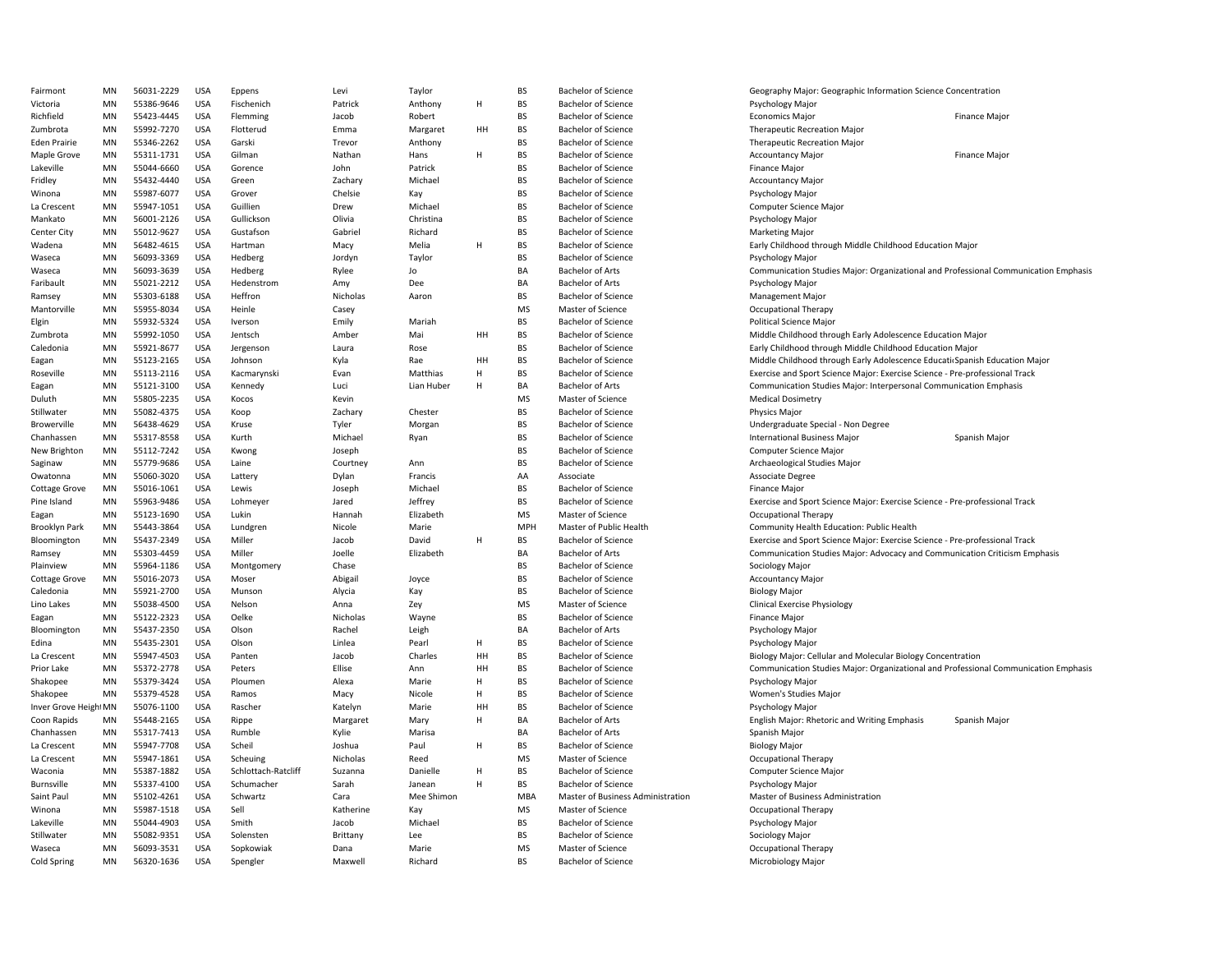| Fairmont             | MN                     | 56031-2229 | <b>USA</b> | Eppens              | Levi      | Taylor     |    | <b>BS</b>       | <b>Bachelor of Science</b>        | Geography Major: Geographic Information Science Concentration                       |                      |
|----------------------|------------------------|------------|------------|---------------------|-----------|------------|----|-----------------|-----------------------------------|-------------------------------------------------------------------------------------|----------------------|
| Victoria             | MN                     | 55386-9646 | <b>USA</b> | Fischenich          | Patrick   | Anthony    | н  | <b>BS</b>       | <b>Bachelor of Science</b>        | Psychology Major                                                                    |                      |
| Richfield            | MN                     | 55423-4445 | <b>USA</b> | Flemming            | Jacob     | Robert     |    | <b>BS</b>       | <b>Bachelor of Science</b>        | <b>Economics Major</b>                                                              | <b>Finance Major</b> |
| Zumbrota             | MN                     | 55992-7270 | <b>USA</b> | Flotterud           | Emma      | Margaret   | HH | <b>BS</b>       | <b>Bachelor of Science</b>        | <b>Therapeutic Recreation Major</b>                                                 |                      |
| <b>Eden Prairie</b>  | MN                     | 55346-2262 | <b>USA</b> | Garski              | Trevor    | Anthony    |    | <b>BS</b>       | <b>Bachelor of Science</b>        | <b>Therapeutic Recreation Major</b>                                                 |                      |
| Maple Grove          | MN                     | 55311-1731 | <b>USA</b> | Gilman              | Nathan    | Hans       | H  | BS              | <b>Bachelor of Science</b>        | <b>Accountancy Major</b>                                                            | Finance Major        |
| Lakeville            | MN                     | 55044-6660 | <b>USA</b> | Gorence             | John      | Patrick    |    | <b>BS</b>       | <b>Bachelor of Science</b>        | Finance Major                                                                       |                      |
| Fridley              | MN                     | 55432-4440 | <b>USA</b> | Green               | Zachary   | Michael    |    | <b>BS</b>       | <b>Bachelor of Science</b>        | <b>Accountancy Major</b>                                                            |                      |
| Winona               | MN                     | 55987-6077 | <b>USA</b> | Grover              | Chelsie   | Kay        |    | <b>BS</b>       | <b>Bachelor of Science</b>        | Psychology Major                                                                    |                      |
| La Crescent          | MN                     | 55947-1051 | <b>USA</b> | Guillien            | Drew      | Michael    |    | BS              | <b>Bachelor of Science</b>        | Computer Science Major                                                              |                      |
| Mankato              | MN                     | 56001-2126 | <b>USA</b> | Gullickson          | Olivia    | Christina  |    | <b>BS</b>       | <b>Bachelor of Science</b>        | Psychology Major                                                                    |                      |
|                      |                        |            |            |                     |           |            |    |                 |                                   |                                                                                     |                      |
| Center City          | MN                     | 55012-9627 | <b>USA</b> | Gustafson           | Gabriel   | Richard    | H  | BS<br><b>BS</b> | <b>Bachelor of Science</b>        | <b>Marketing Major</b>                                                              |                      |
| Wadena               | MN                     | 56482-4615 | <b>USA</b> | Hartman             | Macy      | Melia      |    |                 | <b>Bachelor of Science</b>        | Early Childhood through Middle Childhood Education Major                            |                      |
| Waseca               | MN                     | 56093-3369 | <b>USA</b> | Hedberg             | Jordyn    | Taylor     |    | <b>BS</b>       | <b>Bachelor of Science</b>        | Psychology Major                                                                    |                      |
| Waseca               | MN                     | 56093-3639 | <b>USA</b> | Hedberg             | Rylee     | Jo         |    | BA              | <b>Bachelor of Arts</b>           | Communication Studies Major: Organizational and Professional Communication Emphasis |                      |
| Faribault            | MN                     | 55021-2212 | <b>USA</b> | Hedenstrom          | Amy       | Dee        |    | BA              | <b>Bachelor of Arts</b>           | Psychology Major                                                                    |                      |
| Ramsey               | MN                     | 55303-6188 | <b>USA</b> | Heffron             | Nicholas  | Aaron      |    | <b>BS</b>       | <b>Bachelor of Science</b>        | <b>Management Major</b>                                                             |                      |
| Mantorville          | MN                     | 55955-8034 | <b>USA</b> | Heinle              | Casey     |            |    | <b>MS</b>       | Master of Science                 | Occupational Therapy                                                                |                      |
| Elgin                | MN                     | 55932-5324 | <b>USA</b> | Iverson             | Emily     | Mariah     |    | <b>BS</b>       | <b>Bachelor of Science</b>        | Political Science Major                                                             |                      |
| Zumbrota             | MN                     | 55992-1050 | <b>USA</b> | Jentsch             | Amber     | Mai        | HH | <b>BS</b>       | <b>Bachelor of Science</b>        | Middle Childhood through Early Adolescence Education Major                          |                      |
| Caledonia            | $\mathsf{M}\mathsf{N}$ | 55921-8677 | <b>USA</b> | Jergenson           | Laura     | Rose       |    | <b>BS</b>       | <b>Bachelor of Science</b>        | Early Childhood through Middle Childhood Education Major                            |                      |
| Eagan                | MN                     | 55123-2165 | <b>USA</b> | Johnson             | Kyla      | Rae        | HH | <b>BS</b>       | <b>Bachelor of Science</b>        | Middle Childhood through Early Adolescence Educati Spanish Education Major          |                      |
| Roseville            | MN                     | 55113-2116 | <b>USA</b> | Kacmarynski         | Evan      | Matthias   | H  | <b>BS</b>       | <b>Bachelor of Science</b>        | Exercise and Sport Science Major: Exercise Science - Pre-professional Track         |                      |
| Eagan                | MN                     | 55121-3100 | <b>USA</b> | Kennedy             | Luci      | Lian Huber | H  | BA              | <b>Bachelor of Arts</b>           | Communication Studies Major: Interpersonal Communication Emphasis                   |                      |
| Duluth               | MN                     | 55805-2235 | <b>USA</b> | Kocos               | Kevin     |            |    | <b>MS</b>       | Master of Science                 | <b>Medical Dosimetry</b>                                                            |                      |
| Stillwater           | MN                     | 55082-4375 | <b>USA</b> | Koop                | Zachary   | Chester    |    | BS              | <b>Bachelor of Science</b>        | Physics Major                                                                       |                      |
| Browerville          | MN                     | 56438-4629 | <b>USA</b> | Kruse               | Tyler     | Morgan     |    | <b>BS</b>       | <b>Bachelor of Science</b>        | Undergraduate Special - Non Degree                                                  |                      |
| Chanhassen           | MN                     | 55317-8558 | <b>USA</b> | Kurth               | Michael   | Ryan       |    | <b>BS</b>       | <b>Bachelor of Science</b>        | <b>International Business Major</b>                                                 | Spanish Major        |
| New Brighton         | MN                     | 55112-7242 | <b>USA</b> | Kwong               | Joseph    |            |    | BS              | <b>Bachelor of Science</b>        | Computer Science Major                                                              |                      |
| Saginaw              | MN                     | 55779-9686 | <b>USA</b> | Laine               | Courtney  | Ann        |    | <b>BS</b>       | <b>Bachelor of Science</b>        | Archaeological Studies Major                                                        |                      |
| Owatonna             | MN                     | 55060-3020 | <b>USA</b> | Lattery             | Dylan     | Francis    |    | AA              | Associate                         | Associate Degree                                                                    |                      |
| Cottage Grove        | MN                     | 55016-1061 | <b>USA</b> | Lewis               | Joseph    | Michael    |    | <b>BS</b>       | <b>Bachelor of Science</b>        | Finance Major                                                                       |                      |
| Pine Island          | MN                     | 55963-9486 | <b>USA</b> | Lohmeyer            | Jared     | Jeffrey    |    | <b>BS</b>       | <b>Bachelor of Science</b>        | Exercise and Sport Science Major: Exercise Science - Pre-professional Track         |                      |
| Eagan                | MN                     | 55123-1690 | <b>USA</b> | Lukin               | Hannah    | Elizabeth  |    | MS              | Master of Science                 | Occupational Therapy                                                                |                      |
| Brooklyn Park        | MN                     | 55443-3864 | <b>USA</b> | Lundgren            | Nicole    | Marie      |    | MPH             | Master of Public Health           | Community Health Education: Public Health                                           |                      |
| Bloomington          | MN                     | 55437-2349 | <b>USA</b> | Miller              | Jacob     | David      | H  | BS              | <b>Bachelor of Science</b>        | Exercise and Sport Science Major: Exercise Science - Pre-professional Track         |                      |
|                      |                        |            |            |                     |           |            |    |                 |                                   |                                                                                     |                      |
| Ramsey               | MN                     | 55303-4459 | <b>USA</b> | Miller              | Joelle    | Elizabeth  |    | BA              | <b>Bachelor of Arts</b>           | Communication Studies Major: Advocacy and Communication Criticism Emphasis          |                      |
| Plainview            | MN                     | 55964-1186 | <b>USA</b> | Montgomery          | Chase     |            |    | <b>BS</b>       | <b>Bachelor of Science</b>        | Sociology Major                                                                     |                      |
| Cottage Grove        | MN                     | 55016-2073 | <b>USA</b> | Moser               | Abigail   | Joyce      |    | BS              | <b>Bachelor of Science</b>        | <b>Accountancy Major</b>                                                            |                      |
| Caledonia            | MN                     | 55921-2700 | <b>USA</b> | Munson              | Alycia    | Kay        |    | <b>BS</b>       | <b>Bachelor of Science</b>        | <b>Biology Major</b>                                                                |                      |
| Lino Lakes           | MN                     | 55038-4500 | <b>USA</b> | Nelson              | Anna      | Zey        |    | <b>MS</b>       | Master of Science                 | <b>Clinical Exercise Physiology</b>                                                 |                      |
| Eagan                | MN                     | 55122-2323 | <b>USA</b> | Oelke               | Nicholas  | Wayne      |    | <b>BS</b>       | <b>Bachelor of Science</b>        | Finance Major                                                                       |                      |
| Bloomington          | MN                     | 55437-2350 | <b>USA</b> | Olson               | Rachel    | Leigh      |    | BA              | <b>Bachelor of Arts</b>           | Psychology Major                                                                    |                      |
| Edina                | MN                     | 55435-2301 | <b>USA</b> | Olson               | Linlea    | Pearl      | H  | <b>BS</b>       | <b>Bachelor of Science</b>        | Psychology Major                                                                    |                      |
| La Crescent          | MN                     | 55947-4503 | <b>USA</b> | Panten              | Jacob     | Charles    | HH | <b>BS</b>       | <b>Bachelor of Science</b>        | Biology Major: Cellular and Molecular Biology Concentration                         |                      |
| Prior Lake           | MN                     | 55372-2778 | <b>USA</b> | Peters              | Ellise    | Ann        | HH | <b>BS</b>       | <b>Bachelor of Science</b>        | Communication Studies Major: Organizational and Professional Communication Emphasis |                      |
| Shakopee             | MN                     | 55379-3424 | <b>USA</b> | Ploumen             | Alexa     | Marie      | H  | <b>BS</b>       | <b>Bachelor of Science</b>        | Psychology Major                                                                    |                      |
| Shakopee             | MN                     | 55379-4528 | <b>USA</b> | Ramos               | Macy      | Nicole     | Н  | <b>BS</b>       | <b>Bachelor of Science</b>        | Women's Studies Major                                                               |                      |
| Inver Grove HeightMN |                        | 55076-1100 | <b>USA</b> | Rascher             | Katelyn   | Marie      | HH | <b>BS</b>       | <b>Bachelor of Science</b>        | Psychology Major                                                                    |                      |
| Coon Rapids          | MN                     | 55448-2165 | <b>USA</b> | Rippe               | Margaret  | Mary       | н  | BA              | <b>Bachelor of Arts</b>           | English Major: Rhetoric and Writing Emphasis                                        | Spanish Major        |
| Chanhassen           | MN                     | 55317-7413 | <b>USA</b> | Rumble              | Kylie     | Marisa     |    | BA              | <b>Bachelor of Arts</b>           | Spanish Major                                                                       |                      |
| La Crescent          | MN                     | 55947-7708 | <b>USA</b> | Scheil              | Joshua    | Paul       | H  | BS              | <b>Bachelor of Science</b>        | <b>Biology Major</b>                                                                |                      |
| La Crescent          | MN                     | 55947-1861 | <b>USA</b> | Scheuing            | Nicholas  | Reed       |    | MS              | Master of Science                 | <b>Occupational Therapy</b>                                                         |                      |
| Waconia              | MN                     | 55387-1882 | <b>USA</b> | Schlottach-Ratcliff | Suzanna   | Danielle   | H  | <b>BS</b>       | <b>Bachelor of Science</b>        | <b>Computer Science Major</b>                                                       |                      |
| Burnsville           | MN                     | 55337-4100 | <b>USA</b> | Schumacher          | Sarah     | Janean     | H  | <b>BS</b>       | <b>Bachelor of Science</b>        | Psychology Major                                                                    |                      |
| Saint Paul           | MN                     | 55102-4261 | <b>USA</b> | Schwartz            | Cara      | Mee Shimon |    | MBA             | Master of Business Administration | Master of Business Administration                                                   |                      |
|                      |                        |            |            |                     |           |            |    |                 |                                   |                                                                                     |                      |
| Winona               | MN                     | 55987-1518 | <b>USA</b> | Sell                | Katherine | Kay        |    | MS              | Master of Science                 | <b>Occupational Therapy</b>                                                         |                      |
| Lakeville            | MN                     | 55044-4903 | <b>USA</b> | Smith               | Jacob     | Michael    |    | <b>BS</b>       | <b>Bachelor of Science</b>        | Psychology Major                                                                    |                      |
| Stillwater           | MN                     | 55082-9351 | <b>USA</b> | Solensten           | Brittany  | Lee        |    | <b>BS</b>       | <b>Bachelor of Science</b>        | Sociology Major                                                                     |                      |
| Waseca               | MN                     | 56093-3531 | <b>USA</b> | Sopkowiak           | Dana      | Marie      |    | <b>MS</b>       | Master of Science                 | Occupational Therapy                                                                |                      |
| Cold Spring          | MN                     | 56320-1636 | <b>USA</b> | Spengler            | Maxwell   | Richard    |    | <b>BS</b>       | <b>Bachelor of Science</b>        | Microbiology Major                                                                  |                      |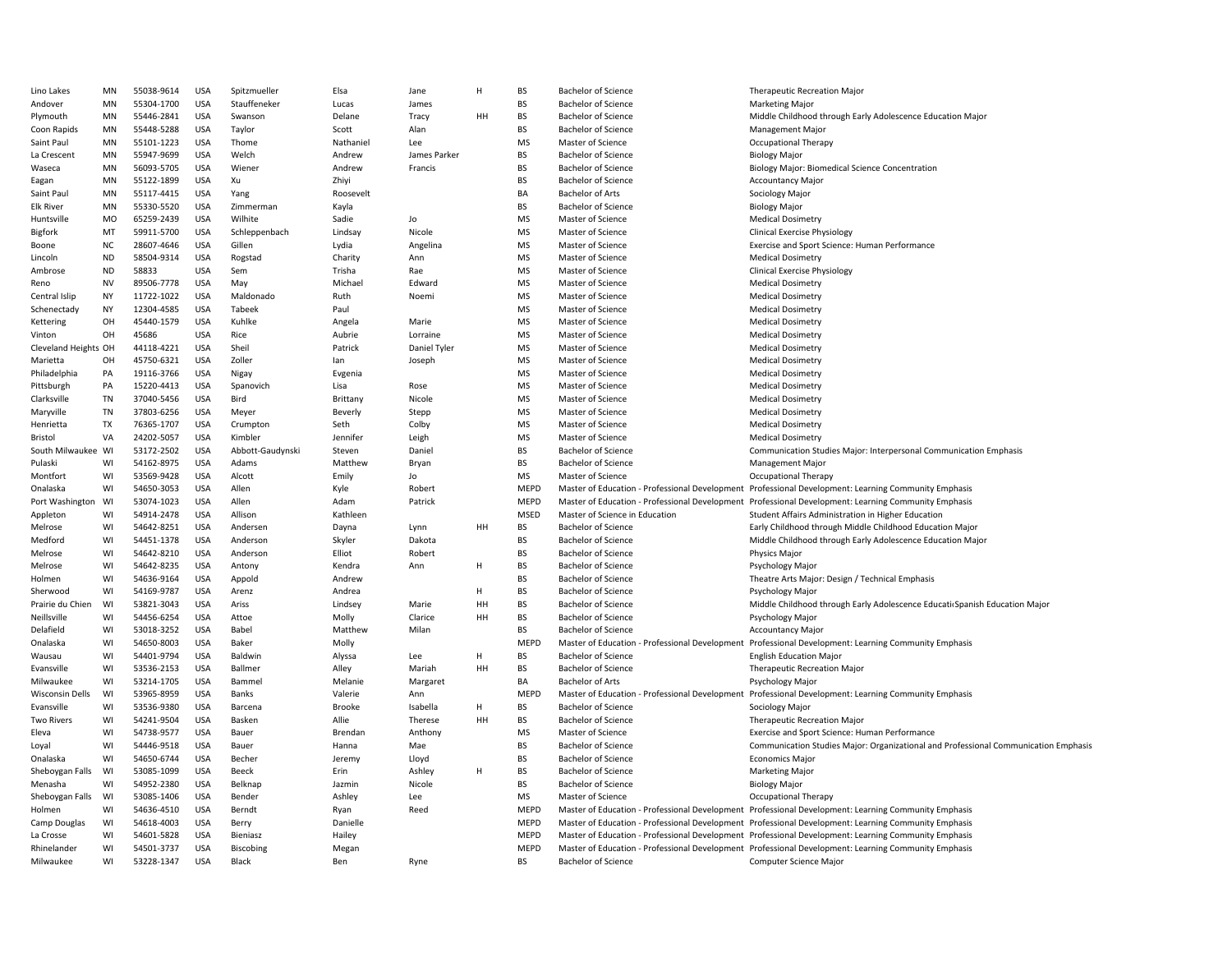| Lino Lakes           | MN        | 55038-9614 | <b>USA</b> | Spitzmueller     | Elsa      | Jane         | H  | BS          | <b>Bachelor of Science</b>                     | <b>Therapeutic Recreation Major</b>                                                                  |
|----------------------|-----------|------------|------------|------------------|-----------|--------------|----|-------------|------------------------------------------------|------------------------------------------------------------------------------------------------------|
| Andover              | <b>MN</b> | 55304-1700 | <b>USA</b> | Stauffeneker     | Lucas     | James        |    | <b>BS</b>   | <b>Bachelor of Science</b>                     | <b>Marketing Major</b>                                                                               |
| Plymouth             | MN        | 55446-2841 | <b>USA</b> | Swanson          | Delane    | Tracy        | HH | BS          | <b>Bachelor of Science</b>                     | Middle Childhood through Early Adolescence Education Major                                           |
| Coon Rapids          | MN        | 55448-5288 | <b>USA</b> | Taylor           | Scott     | Alan         |    | <b>BS</b>   | <b>Bachelor of Science</b>                     | <b>Management Major</b>                                                                              |
| Saint Paul           | MN        | 55101-1223 | <b>USA</b> | Thome            | Nathaniel | Lee          |    | MS          | Master of Science                              | Occupational Therapy                                                                                 |
| La Crescent          | MN        | 55947-9699 | <b>USA</b> | Welch            | Andrew    | James Parker |    | BS          | <b>Bachelor of Science</b>                     | <b>Biology Major</b>                                                                                 |
| Waseca               | MN        | 56093-5705 | <b>USA</b> | Wiener           | Andrew    | Francis      |    | <b>BS</b>   | <b>Bachelor of Science</b>                     | Biology Major: Biomedical Science Concentration                                                      |
| Eagan                | MN        | 55122-1899 | <b>USA</b> | Xu               | Zhiyi     |              |    | BS          | <b>Bachelor of Science</b>                     | <b>Accountancy Major</b>                                                                             |
| Saint Paul           | MN        | 55117-4415 | <b>USA</b> | Yang             | Roosevelt |              |    | BA          | <b>Bachelor of Arts</b>                        | Sociology Major                                                                                      |
| <b>Elk River</b>     | MN        | 55330-5520 | <b>USA</b> | Zimmerman        |           |              |    | <b>BS</b>   | <b>Bachelor of Science</b>                     |                                                                                                      |
|                      |           |            |            |                  | Kayla     |              |    |             |                                                | <b>Biology Major</b>                                                                                 |
| Huntsville           | MO        | 65259-2439 | <b>USA</b> | Wilhite          | Sadie     | Jo           |    | <b>MS</b>   | Master of Science                              | <b>Medical Dosimetry</b>                                                                             |
| Bigfork              | MT        | 59911-5700 | <b>USA</b> | Schleppenbach    | Lindsay   | Nicole       |    | MS          | Master of Science                              | <b>Clinical Exercise Physiology</b>                                                                  |
| Boone                | NC        | 28607-4646 | <b>USA</b> | Gillen           | Lydia     | Angelina     |    | <b>MS</b>   | Master of Science                              | Exercise and Sport Science: Human Performance                                                        |
| Lincoln              | <b>ND</b> | 58504-9314 | <b>USA</b> | Rogstad          | Charity   | Ann          |    | <b>MS</b>   | Master of Science                              | <b>Medical Dosimetry</b>                                                                             |
| Ambrose              | <b>ND</b> | 58833      | <b>USA</b> | Sem              | Trisha    | Rae          |    | MS          | Master of Science                              | <b>Clinical Exercise Physiology</b>                                                                  |
| Reno                 | <b>NV</b> | 89506-7778 | <b>USA</b> | May              | Michael   | Edward       |    | MS          | Master of Science                              | <b>Medical Dosimetry</b>                                                                             |
| Central Islip        | <b>NY</b> | 11722-1022 | <b>USA</b> | Maldonado        | Ruth      | Noemi        |    | MS          | Master of Science                              | <b>Medical Dosimetry</b>                                                                             |
| Schenectady          | <b>NY</b> | 12304-4585 | <b>USA</b> | Tabeek           | Paul      |              |    | MS          | Master of Science                              | <b>Medical Dosimetry</b>                                                                             |
| Kettering            | OH        | 45440-1579 | <b>USA</b> | Kuhlke           | Angela    | Marie        |    | MS          | Master of Science                              | <b>Medical Dosimetry</b>                                                                             |
|                      | OH        | 45686      | <b>USA</b> |                  | Aubrie    | Lorraine     |    | <b>MS</b>   | Master of Science                              |                                                                                                      |
| Vinton               |           |            |            | Rice             |           |              |    |             |                                                | <b>Medical Dosimetry</b>                                                                             |
| Cleveland Heights OH |           | 44118-4221 | <b>USA</b> | Sheil            | Patrick   | Daniel Tyler |    | MS          | Master of Science                              | <b>Medical Dosimetry</b>                                                                             |
| Marietta             | OH        | 45750-6321 | <b>USA</b> | Zoller           | lan       | Joseph       |    | MS          | Master of Science                              | <b>Medical Dosimetry</b>                                                                             |
| Philadelphia         | PA        | 19116-3766 | <b>USA</b> | Nigay            | Evgenia   |              |    | MS          | Master of Science                              | <b>Medical Dosimetry</b>                                                                             |
| Pittsburgh           | PA        | 15220-4413 | <b>USA</b> | Spanovich        | Lisa      | Rose         |    | MS          | Master of Science                              | <b>Medical Dosimetry</b>                                                                             |
| Clarksville          | <b>TN</b> | 37040-5456 | <b>USA</b> | Bird             | Brittany  | Nicole       |    | MS          | Master of Science                              | <b>Medical Dosimetry</b>                                                                             |
| Maryville            | TN        | 37803-6256 | <b>USA</b> | Meyer            | Beverly   | Stepp        |    | MS          | Master of Science                              | <b>Medical Dosimetry</b>                                                                             |
| Henrietta            | TX        | 76365-1707 | USA        | Crumpton         | Seth      | Colby        |    | MS          | Master of Science                              | <b>Medical Dosimetry</b>                                                                             |
| Bristol              | VA        | 24202-5057 | <b>USA</b> | Kimbler          | Jennifer  | Leigh        |    | <b>MS</b>   | Master of Science                              | <b>Medical Dosimetry</b>                                                                             |
| South Milwaukee WI   |           | 53172-2502 | <b>USA</b> |                  |           | Daniel       |    | BS          | <b>Bachelor of Science</b>                     | Communication Studies Major: Interpersonal Communication Emphasis                                    |
|                      |           |            |            | Abbott-Gaudynski | Steven    |              |    |             |                                                |                                                                                                      |
| Pulaski              | WI        | 54162-8975 | <b>USA</b> | Adams            | Matthew   | Bryan        |    | BS          | <b>Bachelor of Science</b>                     | <b>Management Major</b>                                                                              |
| Montfort             | WI        | 53569-9428 | USA        | Alcott           | Emily     | Jo           |    | MS          | Master of Science                              | Occupational Therapy                                                                                 |
| Onalaska             | WI        | 54650-3053 | <b>USA</b> | Allen            | Kyle      | Robert       |    | <b>MEPD</b> | Master of Education - Professional Development | Professional Development: Learning Community Emphasis                                                |
| Port Washington      | WI        | 53074-1023 | <b>USA</b> | Allen            | Adam      | Patrick      |    | MEPD        | Master of Education - Professional Development | Professional Development: Learning Community Emphasis                                                |
| Appleton             | WI        | 54914-2478 | <b>USA</b> | Allison          | Kathleen  |              |    | <b>MSED</b> | Master of Science in Education                 | Student Affairs Administration in Higher Education                                                   |
| Melrose              | WI        | 54642-8251 | <b>USA</b> | Andersen         | Dayna     | Lynn         | HH | BS          | <b>Bachelor of Science</b>                     | Early Childhood through Middle Childhood Education Major                                             |
| Medford              | WI        | 54451-1378 | <b>USA</b> | Anderson         | Skyler    | Dakota       |    | <b>BS</b>   | <b>Bachelor of Science</b>                     | Middle Childhood through Early Adolescence Education Major                                           |
| Melrose              | WI        | 54642-8210 | <b>USA</b> | Anderson         | Elliot    | Robert       |    | BS          | <b>Bachelor of Science</b>                     | Physics Major                                                                                        |
| Melrose              | WI        | 54642-8235 | <b>USA</b> | Antony           | Kendra    | Ann          | H  | <b>BS</b>   | <b>Bachelor of Science</b>                     | Psychology Major                                                                                     |
|                      |           |            |            |                  |           |              |    | BS          |                                                |                                                                                                      |
| Holmen               | WI        | 54636-9164 | <b>USA</b> | Appold           | Andrew    |              |    |             | <b>Bachelor of Science</b>                     | Theatre Arts Major: Design / Technical Emphasis                                                      |
| Sherwood             | WI        | 54169-9787 | <b>USA</b> | Arenz            | Andrea    |              | H  | BS          | <b>Bachelor of Science</b>                     | Psychology Major                                                                                     |
| Prairie du Chien     | WI        | 53821-3043 | <b>USA</b> | Ariss            | Lindsey   | Marie        | HH | BS          | <b>Bachelor of Science</b>                     | Middle Childhood through Early Adolescence Educati Spanish Education Major                           |
| Neillsville          | WI        | 54456-6254 | <b>USA</b> | Attoe            | Molly     | Clarice      | HH | BS          | <b>Bachelor of Science</b>                     | Psychology Major                                                                                     |
| Delafield            | WI        | 53018-3252 | <b>USA</b> | Babel            | Matthew   | Milan        |    | <b>BS</b>   | <b>Bachelor of Science</b>                     | <b>Accountancy Major</b>                                                                             |
| Onalaska             | WI        | 54650-8003 | <b>USA</b> | Baker            | Molly     |              |    | MEPD        | Master of Education - Professional Development | Professional Development: Learning Community Emphasis                                                |
| Wausau               | WI        | 54401-9794 | <b>USA</b> | Baldwin          | Alyssa    | Lee          | H  | BS          | <b>Bachelor of Science</b>                     | <b>English Education Major</b>                                                                       |
| Evansville           | WI        | 53536-2153 | <b>USA</b> | Ballmer          | Alley     | Mariah       | HH | <b>BS</b>   | <b>Bachelor of Science</b>                     | <b>Therapeutic Recreation Major</b>                                                                  |
| Milwaukee            | WI        | 53214-1705 | <b>USA</b> | Bammel           | Melanie   | Margaret     |    | BA          | <b>Bachelor of Arts</b>                        | Psychology Major                                                                                     |
|                      |           |            |            |                  |           |              |    |             |                                                |                                                                                                      |
| Wisconsin Dells      | WI        | 53965-8959 | USA        | Banks            | Valerie   | Ann          |    | <b>MEPD</b> | Master of Education - Professional Development | Professional Development: Learning Community Emphasis                                                |
| Evansville           | WI        | 53536-9380 | <b>USA</b> | Barcena          | Brooke    | Isabella     | H  | <b>BS</b>   | <b>Bachelor of Science</b>                     | Sociology Major                                                                                      |
| Two Rivers           | WI        | 54241-9504 | <b>USA</b> | Basken           | Allie     | Therese      | HH | BS          | <b>Bachelor of Science</b>                     | Therapeutic Recreation Major                                                                         |
| Eleva                | WI        | 54738-9577 | <b>USA</b> | Bauer            | Brendan   | Anthony      |    | <b>MS</b>   | Master of Science                              | Exercise and Sport Science: Human Performance                                                        |
| Loyal                | WI        | 54446-9518 | <b>USA</b> | Bauer            | Hanna     | Mae          |    | BS          | <b>Bachelor of Science</b>                     | Communication Studies Major: Organizational and Professional Communication Emphasis                  |
| Onalaska             | WI        | 54650-6744 | <b>USA</b> | Becher           | Jeremy    | Lloyd        |    | BS          | <b>Bachelor of Science</b>                     | <b>Economics Major</b>                                                                               |
| Sheboygan Falls      | WI        | 53085-1099 | <b>USA</b> | Beeck            | Erin      | Ashley       | H  | BS          | <b>Bachelor of Science</b>                     | <b>Marketing Major</b>                                                                               |
| Menasha              | WI        | 54952-2380 | <b>USA</b> | Belknap          | Jazmin    | Nicole       |    | <b>BS</b>   | <b>Bachelor of Science</b>                     | <b>Biology Major</b>                                                                                 |
| Sheboygan Falls      | WI        | 53085-1406 | <b>USA</b> | Bender           | Ashley    | Lee          |    | MS          | Master of Science                              | Occupational Therapy                                                                                 |
|                      | WI        |            |            |                  |           | Reed         |    |             |                                                |                                                                                                      |
| Holmen               |           | 54636-4510 | <b>USA</b> | Berndt           | Ryan      |              |    | <b>MEPD</b> |                                                | Master of Education - Professional Development Professional Development: Learning Community Emphasis |
| Camp Douglas         | WI        | 54618-4003 | <b>USA</b> | Berry            | Danielle  |              |    | <b>MEPD</b> |                                                | Master of Education - Professional Development Professional Development: Learning Community Emphasis |
| La Crosse            | WI        | 54601-5828 | <b>USA</b> | Bieniasz         | Hailey    |              |    | <b>MEPD</b> |                                                | Master of Education - Professional Development Professional Development: Learning Community Emphasis |
| Rhinelander          | WI        | 54501-3737 | <b>USA</b> | Biscobing        | Megan     |              |    | MEPD        |                                                | Master of Education - Professional Development Professional Development: Learning Community Emphasis |
| Milwaukee            | WI        | 53228-1347 | <b>USA</b> | Black            | Ben       | Ryne         |    | BS          | <b>Bachelor of Science</b>                     | Computer Science Major                                                                               |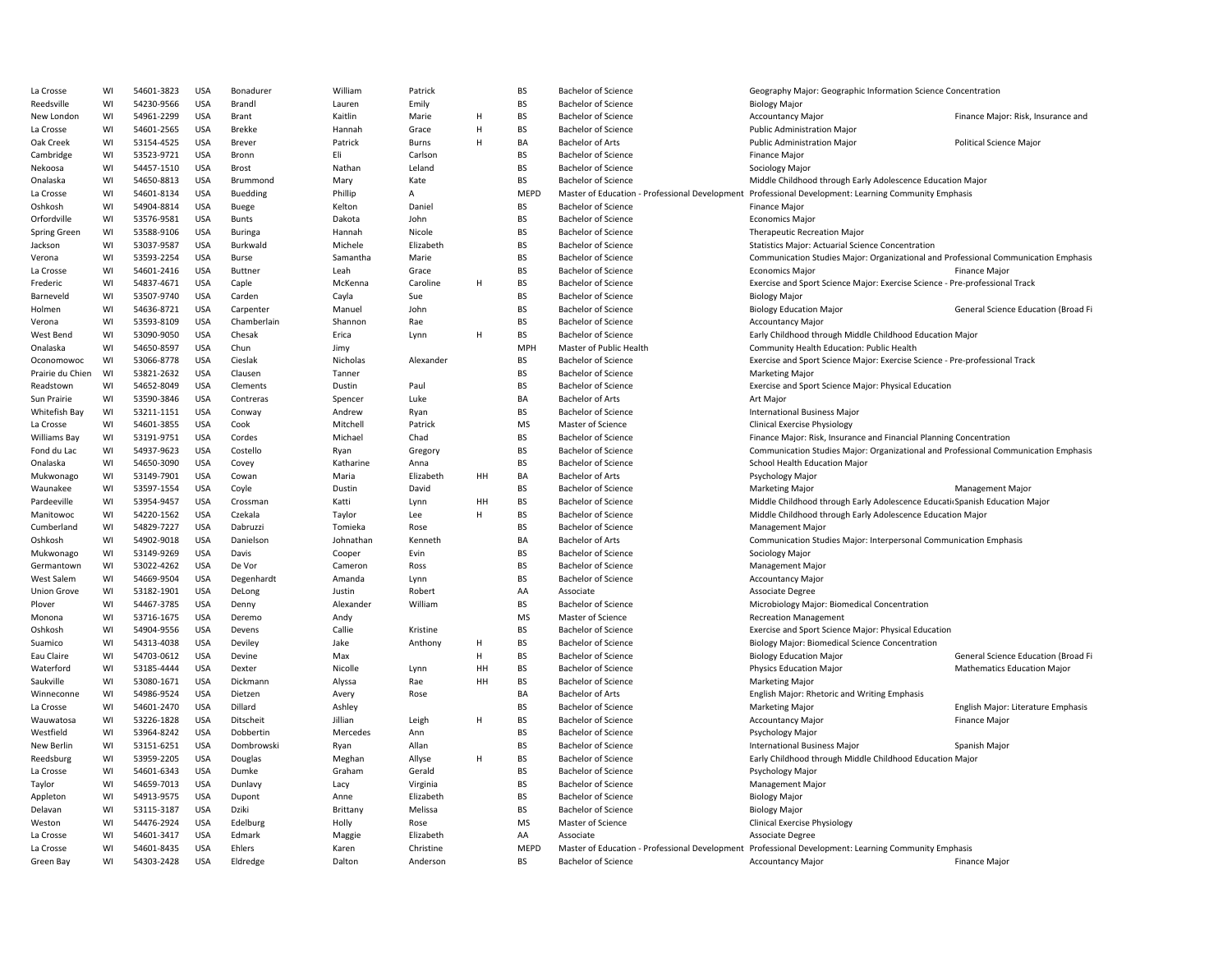| La Crosse          | WI | 54601-3823 | <b>USA</b> | Bonadurer      | William        | Patrick   |    | <b>BS</b>   | <b>Bachelor of Science</b> | Geography Major: Geographic Information Science Concentration                                        |                                     |
|--------------------|----|------------|------------|----------------|----------------|-----------|----|-------------|----------------------------|------------------------------------------------------------------------------------------------------|-------------------------------------|
| Reedsville         | WI | 54230-9566 | <b>USA</b> | Brandl         | Lauren         | Emily     |    | <b>BS</b>   | <b>Bachelor of Science</b> | <b>Biology Major</b>                                                                                 |                                     |
| New London         | WI | 54961-2299 | <b>USA</b> | Brant          | Kaitlin        | Marie     | H  | <b>BS</b>   | <b>Bachelor of Science</b> | <b>Accountancy Major</b>                                                                             | Finance Major: Risk, Insurance and  |
| La Crosse          | WI | 54601-2565 | <b>USA</b> | <b>Brekke</b>  | Hannah         | Grace     | Н  | <b>BS</b>   | <b>Bachelor of Science</b> | <b>Public Administration Major</b>                                                                   |                                     |
| Oak Creek          | WI | 53154-4525 | <b>USA</b> | Brever         | Patrick        | Burns     | H  | BA          | <b>Bachelor of Arts</b>    | Public Administration Major                                                                          | Political Science Major             |
| Cambridge          | WI | 53523-9721 | <b>USA</b> | Bronn          | Eli            | Carlson   |    | <b>BS</b>   | <b>Bachelor of Science</b> | Finance Major                                                                                        |                                     |
| Nekoosa            | WI | 54457-1510 | <b>USA</b> | <b>Brost</b>   | Nathan         | Leland    |    | <b>BS</b>   | <b>Bachelor of Science</b> | Sociology Major                                                                                      |                                     |
| Onalaska           | WI | 54650-8813 | <b>USA</b> | Brummond       | Mary           | Kate      |    | <b>BS</b>   | <b>Bachelor of Science</b> | Middle Childhood through Early Adolescence Education Major                                           |                                     |
| La Crosse          | WI | 54601-8134 | <b>USA</b> | Buedding       | Phillip        | А         |    | <b>MEPD</b> |                            | Master of Education - Professional Development Professional Development: Learning Community Emphasis |                                     |
| Oshkosh            | WI | 54904-8814 | <b>USA</b> | Buege          | Kelton         | Daniel    |    | <b>BS</b>   | <b>Bachelor of Science</b> | <b>Finance Major</b>                                                                                 |                                     |
| Orfordville        | WI | 53576-9581 | <b>USA</b> | <b>Bunts</b>   | Dakota         | John      |    | <b>BS</b>   | <b>Bachelor of Science</b> | <b>Economics Major</b>                                                                               |                                     |
| Spring Green       | WI | 53588-9106 | <b>USA</b> | <b>Buringa</b> | Hannah         | Nicole    |    | <b>BS</b>   | <b>Bachelor of Science</b> | Therapeutic Recreation Major                                                                         |                                     |
| Jackson            | WI | 53037-9587 | <b>USA</b> | Burkwald       | Michele        | Elizabeth |    | <b>BS</b>   | <b>Bachelor of Science</b> | <b>Statistics Major: Actuarial Science Concentration</b>                                             |                                     |
| Verona             | WI | 53593-2254 | <b>USA</b> | Burse          | Samantha       | Marie     |    | <b>BS</b>   | <b>Bachelor of Science</b> | Communication Studies Major: Organizational and Professional Communication Emphasis                  |                                     |
| La Crosse          | WI | 54601-2416 | <b>USA</b> | <b>Buttner</b> | Leah           | Grace     |    | <b>BS</b>   | <b>Bachelor of Science</b> | <b>Economics Major</b>                                                                               | <b>Finance Major</b>                |
|                    | WI | 54837-4671 | <b>USA</b> | Caple          | McKenna        | Caroline  | H  | <b>BS</b>   | <b>Bachelor of Science</b> | Exercise and Sport Science Major: Exercise Science - Pre-professional Track                          |                                     |
| Frederic           | WI | 53507-9740 | <b>USA</b> | Carden         |                |           |    | <b>BS</b>   | <b>Bachelor of Science</b> |                                                                                                      |                                     |
| Barneveld          |    |            |            |                | Cayla          | Sue       |    |             |                            | <b>Biology Major</b>                                                                                 |                                     |
| Holmen             | WI | 54636-8721 | <b>USA</b> | Carpenter      | Manuel         | John      |    | <b>BS</b>   | <b>Bachelor of Science</b> | <b>Biology Education Major</b>                                                                       | General Science Education (Broad Fi |
| Verona             | WI | 53593-8109 | <b>USA</b> | Chamberlain    | Shannon        | Rae       |    | <b>BS</b>   | <b>Bachelor of Science</b> | <b>Accountancy Major</b>                                                                             |                                     |
| West Bend          | WI | 53090-9050 | <b>USA</b> | Chesak         | Erica          | Lynn      | H  | BS          | <b>Bachelor of Science</b> | Early Childhood through Middle Childhood Education Major                                             |                                     |
| Onalaska           | WI | 54650-8597 | USA        | Chun           | Jimy           |           |    | <b>MPH</b>  | Master of Public Health    | Community Health Education: Public Health                                                            |                                     |
| Oconomowoc         | WI | 53066-8778 | <b>USA</b> | Cieslak        | Nicholas       | Alexander |    | <b>BS</b>   | <b>Bachelor of Science</b> | Exercise and Sport Science Major: Exercise Science - Pre-professional Track                          |                                     |
| Prairie du Chien   | WI | 53821-2632 | <b>USA</b> | Clausen        | Tanner         |           |    | <b>BS</b>   | <b>Bachelor of Science</b> | <b>Marketing Major</b>                                                                               |                                     |
| Readstown          | WI | 54652-8049 | <b>USA</b> | Clements       | Dustin         | Paul      |    | <b>BS</b>   | <b>Bachelor of Science</b> | Exercise and Sport Science Major: Physical Education                                                 |                                     |
| Sun Prairie        | WI | 53590-3846 | <b>USA</b> | Contreras      | Spencer        | Luke      |    | BA          | <b>Bachelor of Arts</b>    | Art Major                                                                                            |                                     |
| Whitefish Bay      | WI | 53211-1151 | <b>USA</b> | Conway         | Andrew         | Ryan      |    | <b>BS</b>   | <b>Bachelor of Science</b> | <b>International Business Major</b>                                                                  |                                     |
| La Crosse          | WI | 54601-3855 | <b>USA</b> | Cook           | Mitchell       | Patrick   |    | <b>MS</b>   | Master of Science          | <b>Clinical Exercise Physiology</b>                                                                  |                                     |
| Williams Bay       | WI | 53191-9751 | <b>USA</b> | Cordes         | Michael        | Chad      |    | <b>BS</b>   | <b>Bachelor of Science</b> | Finance Major: Risk, Insurance and Financial Planning Concentration                                  |                                     |
| Fond du Lac        | WI | 54937-9623 | <b>USA</b> | Costello       | Ryan           | Gregory   |    | <b>BS</b>   | <b>Bachelor of Science</b> | Communication Studies Major: Organizational and Professional Communication Emphasis                  |                                     |
| Onalaska           | WI | 54650-3090 | USA        | Covey          | Katharine      | Anna      |    | <b>BS</b>   | <b>Bachelor of Science</b> | School Health Education Major                                                                        |                                     |
| Mukwonago          | WI | 53149-7901 | <b>USA</b> | Cowan          | Maria          | Elizabeth | HH | BA          | <b>Bachelor of Arts</b>    | Psychology Major                                                                                     |                                     |
| Waunakee           | WI | 53597-1554 | <b>USA</b> | Coyle          | Dustin         | David     |    | <b>BS</b>   | <b>Bachelor of Science</b> | <b>Marketing Major</b>                                                                               | <b>Management Major</b>             |
| Pardeeville        | WI | 53954-9457 | <b>USA</b> | Crossman       | Katti          | Lynn      | HH | <b>BS</b>   | <b>Bachelor of Science</b> | Middle Childhood through Early Adolescence Educati Spanish Education Major                           |                                     |
| Manitowoc          | WI | 54220-1562 | <b>USA</b> | Czekala        | Taylor         | Lee       | H  | <b>BS</b>   | <b>Bachelor of Science</b> | Middle Childhood through Early Adolescence Education Major                                           |                                     |
| Cumberland         | WI | 54829-7227 | <b>USA</b> | Dabruzzi       | Tomieka        | Rose      |    | <b>BS</b>   | <b>Bachelor of Science</b> | <b>Management Major</b>                                                                              |                                     |
| Oshkosh            | WI | 54902-9018 | <b>USA</b> | Danielson      | Johnathan      | Kenneth   |    | BA          | <b>Bachelor of Arts</b>    | Communication Studies Major: Interpersonal Communication Emphasis                                    |                                     |
| Mukwonago          | WI | 53149-9269 | <b>USA</b> | Davis          | Cooper         | Evin      |    | <b>BS</b>   | <b>Bachelor of Science</b> | Sociology Major                                                                                      |                                     |
| Germantown         | WI | 53022-4262 | <b>USA</b> | De Vor         | Cameron        | Ross      |    | <b>BS</b>   | <b>Bachelor of Science</b> | Management Major                                                                                     |                                     |
| <b>West Salem</b>  | WI | 54669-9504 | <b>USA</b> | Degenhardt     | Amanda         | Lynn      |    | <b>BS</b>   | <b>Bachelor of Science</b> | <b>Accountancy Major</b>                                                                             |                                     |
| <b>Union Grove</b> | WI | 53182-1901 | <b>USA</b> | DeLong         | Justin         | Robert    |    | AA          | Associate                  | Associate Degree                                                                                     |                                     |
| Plover             | WI | 54467-3785 | <b>USA</b> | Denny          | Alexander      | William   |    | <b>BS</b>   | <b>Bachelor of Science</b> | Microbiology Major: Biomedical Concentration                                                         |                                     |
| Monona             | WI | 53716-1675 | <b>USA</b> | Deremo         |                |           |    | MS          | Master of Science          | <b>Recreation Management</b>                                                                         |                                     |
|                    | WI | 54904-9556 | <b>USA</b> | Devens         | Andy<br>Callie | Kristine  |    | <b>BS</b>   | <b>Bachelor of Science</b> |                                                                                                      |                                     |
| Oshkosh            |    |            |            |                |                |           | H  | <b>BS</b>   |                            | Exercise and Sport Science Major: Physical Education                                                 |                                     |
| Suamico            | WI | 54313-4038 | <b>USA</b> | Deviley        | Jake           | Anthony   |    |             | <b>Bachelor of Science</b> | <b>Biology Major: Biomedical Science Concentration</b>                                               |                                     |
| Eau Claire         | WI | 54703-0612 | <b>USA</b> | Devine         | Max            |           | H  | <b>BS</b>   | <b>Bachelor of Science</b> | <b>Biology Education Major</b>                                                                       | General Science Education (Broad Fi |
| Waterford          | WI | 53185-4444 | <b>USA</b> | Dexter         | Nicolle        | Lynn      | HH | <b>BS</b>   | <b>Bachelor of Science</b> | <b>Physics Education Major</b>                                                                       | <b>Mathematics Education Major</b>  |
| Saukville          | WI | 53080-1671 | <b>USA</b> | Dickmann       | Alyssa         | Rae       | HH | <b>BS</b>   | <b>Bachelor of Science</b> | <b>Marketing Major</b>                                                                               |                                     |
| Winneconne         | WI | 54986-9524 | <b>USA</b> | Dietzen        | Avery          | Rose      |    | BA          | <b>Bachelor of Arts</b>    | English Major: Rhetoric and Writing Emphasis                                                         |                                     |
| La Crosse          | WI | 54601-2470 | <b>USA</b> | Dillard        | Ashley         |           |    | <b>BS</b>   | <b>Bachelor of Science</b> | <b>Marketing Major</b>                                                                               | English Major: Literature Emphasis  |
| Wauwatosa          | WI | 53226-1828 | <b>USA</b> | Ditscheit      | Jillian        | Leigh     | H  | <b>BS</b>   | <b>Bachelor of Science</b> | <b>Accountancy Major</b>                                                                             | <b>Finance Major</b>                |
| Westfield          | WI | 53964-8242 | <b>USA</b> | Dobbertin      | Mercedes       | Ann       |    | <b>BS</b>   | <b>Bachelor of Science</b> | Psychology Major                                                                                     |                                     |
| New Berlin         | WI | 53151-6251 | <b>USA</b> | Dombrowski     | Ryan           | Allan     |    | <b>BS</b>   | <b>Bachelor of Science</b> | International Business Major                                                                         | Spanish Major                       |
| Reedsburg          | WI | 53959-2205 | <b>USA</b> | Douglas        | Meghan         | Allyse    | H  | <b>BS</b>   | <b>Bachelor of Science</b> | Early Childhood through Middle Childhood Education Major                                             |                                     |
| La Crosse          | WI | 54601-6343 | <b>USA</b> | Dumke          | Graham         | Gerald    |    | <b>BS</b>   | <b>Bachelor of Science</b> | Psychology Major                                                                                     |                                     |
| Taylor             | WI | 54659-7013 | <b>USA</b> | Dunlavy        | Lacy           | Virginia  |    | <b>BS</b>   | <b>Bachelor of Science</b> | Management Major                                                                                     |                                     |
| Appleton           | WI | 54913-9575 | <b>USA</b> | Dupont         | Anne           | Elizabeth |    | <b>BS</b>   | <b>Bachelor of Science</b> | <b>Biology Major</b>                                                                                 |                                     |
| Delavan            | WI | 53115-3187 | <b>USA</b> | Dziki          | Brittany       | Melissa   |    | <b>BS</b>   | <b>Bachelor of Science</b> | <b>Biology Major</b>                                                                                 |                                     |
| Weston             | WI | 54476-2924 | USA        | Edelburg       | Holly          | Rose      |    | MS          | Master of Science          | <b>Clinical Exercise Physiology</b>                                                                  |                                     |
| La Crosse          | WI | 54601-3417 | <b>USA</b> | Edmark         | Maggie         | Elizabeth |    | AA          | Associate                  | Associate Degree                                                                                     |                                     |
| La Crosse          | WI | 54601-8435 | <b>USA</b> | Ehlers         | Karen          | Christine |    | <b>MEPD</b> |                            | Master of Education - Professional Development Professional Development: Learning Community Emphasis |                                     |
| Green Bay          | WI | 54303-2428 | <b>USA</b> | Eldredge       | Dalton         | Anderson  |    | <b>BS</b>   | <b>Bachelor of Science</b> | <b>Accountancy Major</b>                                                                             | <b>Finance Major</b>                |
|                    |    |            |            |                |                |           |    |             |                            |                                                                                                      |                                     |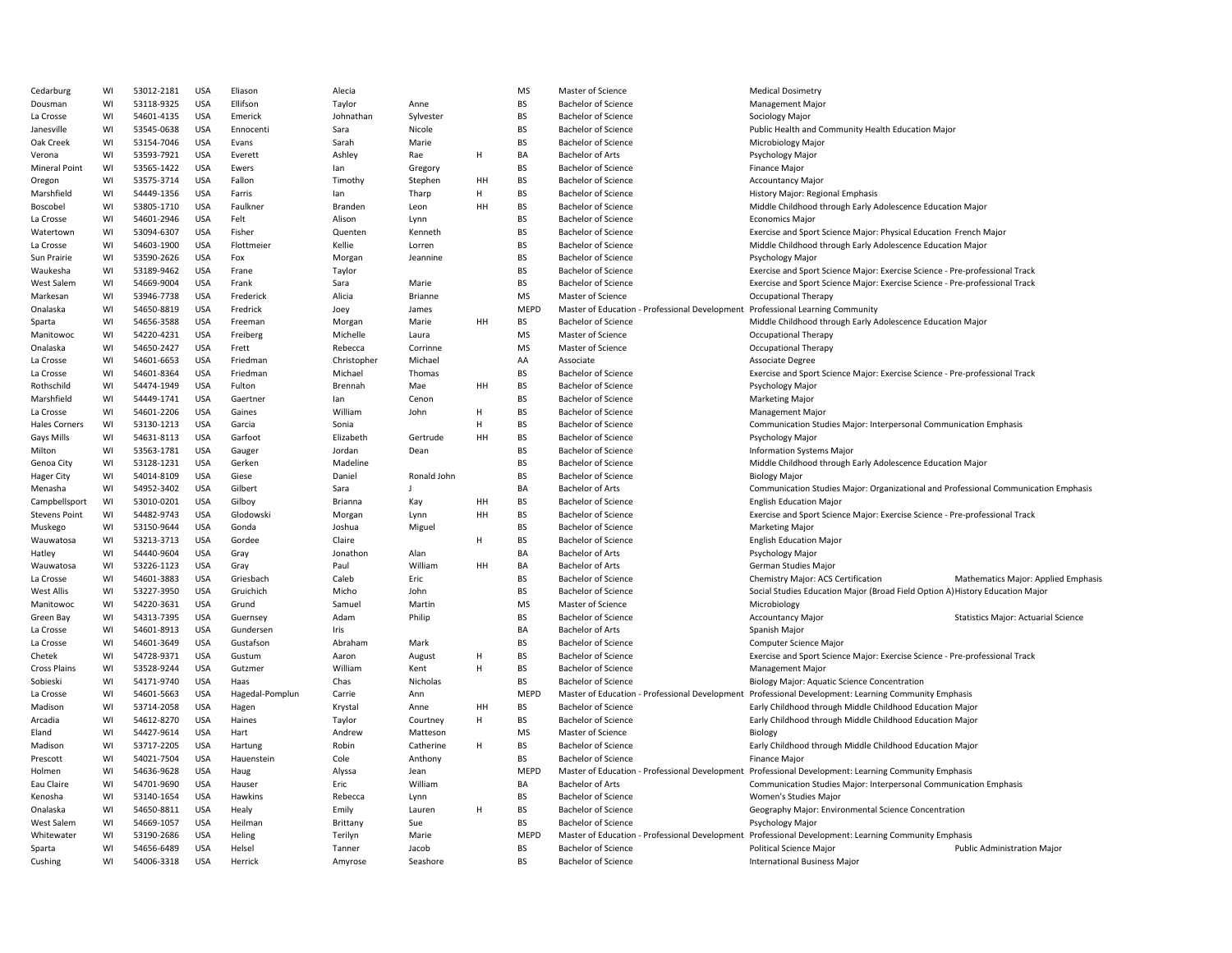| Cedarburg            | WI | 53012-2181 | <b>USA</b> | Eliason         | Alecia      |                |    | <b>MS</b>   | Master of Science                                                              | <b>Medical Dosimetry</b>                                                                             |                                            |
|----------------------|----|------------|------------|-----------------|-------------|----------------|----|-------------|--------------------------------------------------------------------------------|------------------------------------------------------------------------------------------------------|--------------------------------------------|
| Dousman              | WI | 53118-9325 | <b>USA</b> | Ellifson        | Taylor      | Anne           |    | <b>BS</b>   | <b>Bachelor of Science</b>                                                     | <b>Management Major</b>                                                                              |                                            |
| La Crosse            | WI | 54601-4135 | <b>USA</b> | Emerick         | Johnathan   | Sylvester      |    | <b>BS</b>   | Bachelor of Science                                                            | Sociology Major                                                                                      |                                            |
| Janesville           | WI | 53545-0638 | USA        | Ennocenti       | Sara        | Nicole         |    | BS          | <b>Bachelor of Science</b>                                                     | Public Health and Community Health Education Major                                                   |                                            |
| Oak Creek            | WI | 53154-7046 | <b>USA</b> | Evans           | Sarah       | Marie          |    | <b>BS</b>   | <b>Bachelor of Science</b>                                                     | Microbiology Major                                                                                   |                                            |
| Verona               | WI | 53593-7921 | <b>USA</b> | Everett         | Ashley      | Rae            | Η  | BA          | <b>Bachelor of Arts</b>                                                        | Psychology Major                                                                                     |                                            |
| <b>Mineral Point</b> | WI | 53565-1422 | <b>USA</b> | Ewers           | lan         | Gregory        |    | <b>BS</b>   | <b>Bachelor of Science</b>                                                     | Finance Major                                                                                        |                                            |
| Oregon               | WI | 53575-3714 | <b>USA</b> | Fallon          | Timothy     | Stephen        | HH | <b>BS</b>   | <b>Bachelor of Science</b>                                                     | <b>Accountancy Major</b>                                                                             |                                            |
| Marshfield           | WI | 54449-1356 | <b>USA</b> | Farris          | lan         | Tharp          | H  | <b>BS</b>   | <b>Bachelor of Science</b>                                                     | History Major: Regional Emphasis                                                                     |                                            |
| Boscobel             | WI | 53805-1710 | <b>USA</b> | Faulkner        | Branden     | Leon           | HH | BS          | <b>Bachelor of Science</b>                                                     | Middle Childhood through Early Adolescence Education Major                                           |                                            |
| La Crosse            | WI | 54601-2946 | <b>USA</b> | Felt            | Alison      | Lynn           |    | <b>BS</b>   | <b>Bachelor of Science</b>                                                     | <b>Economics Major</b>                                                                               |                                            |
| Watertowr            | WI | 53094-6307 | <b>USA</b> | Fisher          | Quenten     | Kenneth        |    | <b>BS</b>   | <b>Bachelor of Science</b>                                                     | Exercise and Sport Science Major: Physical Education French Major                                    |                                            |
| La Crosse            | WI | 54603-1900 | <b>USA</b> | Flottmeier      | Kellie      | Lorren         |    | BS          | <b>Bachelor of Science</b>                                                     | Middle Childhood through Early Adolescence Education Major                                           |                                            |
| Sun Prairie          | WI | 53590-2626 | <b>USA</b> | Fox             | Morgan      | Jeannine       |    | <b>BS</b>   | <b>Bachelor of Science</b>                                                     | Psychology Major                                                                                     |                                            |
| Waukesha             | WI | 53189-9462 | <b>USA</b> | Frane           | Taylor      |                |    | <b>BS</b>   | <b>Bachelor of Science</b>                                                     | Exercise and Sport Science Major: Exercise Science - Pre-professional Track                          |                                            |
| <b>West Salem</b>    | WI | 54669-9004 | <b>USA</b> | Frank           | Sara        | Marie          |    | <b>BS</b>   | <b>Bachelor of Science</b>                                                     | Exercise and Sport Science Major: Exercise Science - Pre-professional Track                          |                                            |
| Markesan             | WI | 53946-7738 | <b>USA</b> | Frederick       | Alicia      | Brianne        |    | <b>MS</b>   | Master of Science                                                              | <b>Occupational Therapy</b>                                                                          |                                            |
| Onalaska             | WI | 54650-8819 | <b>USA</b> | Fredrick        | Joey        | James          |    | <b>MEPD</b> | Master of Education - Professional Development Professional Learning Community |                                                                                                      |                                            |
| Sparta               | WI | 54656-3588 | <b>USA</b> | Freeman         | Morgan      | Marie          | HH | <b>BS</b>   | <b>Bachelor of Science</b>                                                     | Middle Childhood through Early Adolescence Education Major                                           |                                            |
| Manitowoc            | WI | 54220-4231 | <b>USA</b> | Freiberg        | Michelle    |                |    | <b>MS</b>   | Master of Science                                                              | <b>Occupational Therapy</b>                                                                          |                                            |
|                      |    |            | <b>USA</b> |                 |             | Laura          |    | <b>MS</b>   |                                                                                |                                                                                                      |                                            |
| Onalaska             | WI | 54650-2427 |            | Frett           | Rebecca     | Corrinne       |    |             | Master of Science                                                              | Occupational Therapy                                                                                 |                                            |
| La Crosse            | WI | 54601-6653 | <b>USA</b> | Friedman        | Christopher | Michael        |    | AA          | Associate                                                                      | Associate Degree                                                                                     |                                            |
| La Crosse            | WI | 54601-8364 | <b>USA</b> | Friedman        | Michael     | Thomas         |    | <b>BS</b>   | <b>Bachelor of Science</b>                                                     | Exercise and Sport Science Major: Exercise Science - Pre-professional Track                          |                                            |
| Rothschild           | WI | 54474-1949 | <b>USA</b> | Fulton          | Brennah     | Mae            | HH | <b>BS</b>   | <b>Bachelor of Science</b>                                                     | Psychology Major                                                                                     |                                            |
| Marshfield           | WI | 54449-1741 | <b>USA</b> | Gaertner        | lan         | Cenon          |    | <b>BS</b>   | <b>Bachelor of Science</b>                                                     | <b>Marketing Major</b>                                                                               |                                            |
| La Crosse            | WI | 54601-2206 | <b>USA</b> | Gaines          | William     | John           | H  | <b>BS</b>   | <b>Bachelor of Science</b>                                                     | <b>Management Major</b>                                                                              |                                            |
| <b>Hales Corners</b> | WI | 53130-1213 | <b>USA</b> | Garcia          | Sonia       |                | H  | <b>BS</b>   | <b>Bachelor of Science</b>                                                     | Communication Studies Major: Interpersonal Communication Emphasis                                    |                                            |
| Gays Mills           | WI | 54631-8113 | <b>USA</b> | Garfoot         | Elizabeth   | Gertrude       | HH | <b>BS</b>   | <b>Bachelor of Science</b>                                                     | Psychology Major                                                                                     |                                            |
| Milton               | WI | 53563-1781 | <b>USA</b> | Gauger          | Jordan      | Dean           |    | <b>BS</b>   | <b>Bachelor of Science</b>                                                     | Information Systems Major                                                                            |                                            |
| Genoa City           | WI | 53128-1231 | USA        | Gerken          | Madeline    |                |    | <b>BS</b>   | <b>Bachelor of Science</b>                                                     | Middle Childhood through Early Adolescence Education Major                                           |                                            |
| Hager City           | WI | 54014-8109 | <b>USA</b> | Giese           | Daniel      | Ronald John    |    | <b>BS</b>   | <b>Bachelor of Science</b>                                                     | <b>Biology Major</b>                                                                                 |                                            |
| Menasha              | WI | 54952-3402 | <b>USA</b> | Gilbert         | Sara        | $\overline{1}$ |    | BA          | <b>Bachelor of Arts</b>                                                        | Communication Studies Major: Organizational and Professional Communication Emphasis                  |                                            |
| Campbellsport        | WI | 53010-0201 | <b>USA</b> | Gilboy          | Brianna     | Kay            | HH | <b>BS</b>   | <b>Bachelor of Science</b>                                                     | <b>English Education Major</b>                                                                       |                                            |
| <b>Stevens Point</b> | WI | 54482-9743 | <b>USA</b> | Glodowski       | Morgan      | Lynn           | HH | <b>BS</b>   | <b>Bachelor of Science</b>                                                     | Exercise and Sport Science Major: Exercise Science - Pre-professional Track                          |                                            |
| Muskego              | WI | 53150-9644 | <b>USA</b> | Gonda           | Joshua      | Miguel         |    | <b>BS</b>   | <b>Bachelor of Science</b>                                                     | <b>Marketing Major</b>                                                                               |                                            |
| Wauwatosa            | WI | 53213-3713 | <b>USA</b> | Gordee          | Claire      |                | H  | <b>BS</b>   | <b>Bachelor of Science</b>                                                     | <b>English Education Major</b>                                                                       |                                            |
| Hatley               | WI | 54440-9604 | <b>USA</b> | Gray            | Jonathon    | Alan           |    | BA          | <b>Bachelor of Arts</b>                                                        | Psychology Major                                                                                     |                                            |
| Wauwatosa            | WI | 53226-1123 | <b>USA</b> | Gray            | Paul        | William        | HH | BA          | <b>Bachelor of Arts</b>                                                        | German Studies Major                                                                                 |                                            |
| La Crosse            | WI | 54601-3883 | USA        | Griesbach       | Caleb       | Eric           |    | <b>BS</b>   | <b>Bachelor of Science</b>                                                     | Chemistry Major: ACS Certification                                                                   | Mathematics Major: Applied Emphasis        |
| West Allis           | WI | 53227-3950 | <b>USA</b> | Gruichich       | Micho       | John           |    | <b>BS</b>   | <b>Bachelor of Science</b>                                                     | Social Studies Education Major (Broad Field Option A) History Education Major                        |                                            |
| Manitowoc            | WI | 54220-3631 | <b>USA</b> | Grund           | Samuel      | Martin         |    | <b>MS</b>   | Master of Science                                                              | Microbiology                                                                                         |                                            |
| Green Bay            | WI | 54313-7395 | <b>USA</b> | Guernsey        | Adam        | Philip         |    | <b>BS</b>   | <b>Bachelor of Science</b>                                                     | <b>Accountancy Major</b>                                                                             | <b>Statistics Major: Actuarial Science</b> |
| La Crosse            | WI | 54601-8913 | <b>USA</b> | Gundersen       | Iris        |                |    | BA          | <b>Bachelor of Arts</b>                                                        | Spanish Major                                                                                        |                                            |
| La Crosse            | WI | 54601-3649 | <b>USA</b> | Gustafson       | Abraham     | Mark           |    | <b>BS</b>   | <b>Bachelor of Science</b>                                                     | Computer Science Major                                                                               |                                            |
| Chetek               | WI | 54728-9371 | <b>USA</b> | Gustum          | Aaron       | August         | H  | <b>BS</b>   | <b>Bachelor of Science</b>                                                     | Exercise and Sport Science Major: Exercise Science - Pre-professional Track                          |                                            |
| <b>Cross Plains</b>  | WI | 53528-9244 | <b>USA</b> | Gutzmer         | William     | Kent           | Н  | <b>BS</b>   | <b>Bachelor of Science</b>                                                     | <b>Management Major</b>                                                                              |                                            |
| Sobieski             | WI | 54171-9740 | <b>USA</b> | Haas            | Chas        | Nicholas       |    | <b>BS</b>   | <b>Bachelor of Science</b>                                                     | <b>Biology Major: Aquatic Science Concentration</b>                                                  |                                            |
| La Crosse            | WI | 54601-5663 | <b>USA</b> | Hagedal-Pomplun | Carrie      | Ann            |    | <b>MEPD</b> |                                                                                | Master of Education - Professional Development Professional Development: Learning Community Emphasis |                                            |
| Madison              | WI | 53714-2058 | <b>USA</b> | Hagen           | Krystal     | Anne           | HH | <b>BS</b>   | <b>Bachelor of Science</b>                                                     | Early Childhood through Middle Childhood Education Major                                             |                                            |
| Arcadia              | WI | 54612-8270 | <b>USA</b> | Haines          | Taylor      | Courtney       | Η  | <b>BS</b>   | <b>Bachelor of Science</b>                                                     | Early Childhood through Middle Childhood Education Major                                             |                                            |
| Eland                | WI | 54427-9614 | <b>USA</b> | Hart            | Andrew      | Matteson       |    | MS          | Master of Science                                                              | Biology                                                                                              |                                            |
| Madison              | WI | 53717-2205 | <b>USA</b> | Hartung         | Robin       | Catherine      | H  | <b>BS</b>   | <b>Bachelor of Science</b>                                                     | Early Childhood through Middle Childhood Education Major                                             |                                            |
| Prescott             | WI | 54021-7504 | <b>USA</b> | Hauenstein      | Cole        | Anthony        |    | <b>BS</b>   | <b>Bachelor of Science</b>                                                     | <b>Finance Major</b>                                                                                 |                                            |
| Holmen               | WI | 54636-9628 | <b>USA</b> | Haug            | Alyssa      | Jean           |    | <b>MEPD</b> |                                                                                | Master of Education - Professional Development Professional Development: Learning Community Emphasis |                                            |
| Eau Claire           | WI | 54701-9690 | <b>USA</b> | Hauser          | Eric        | William        |    | BA          | <b>Bachelor of Arts</b>                                                        | Communication Studies Major: Interpersonal Communication Emphasis                                    |                                            |
| Kenosha              | WI | 53140-1654 | <b>USA</b> | Hawkins         | Rebecca     | Lynn           |    | <b>BS</b>   | <b>Bachelor of Science</b>                                                     | Women's Studies Major                                                                                |                                            |
| Onalaska             | WI | 54650-8811 | <b>USA</b> | Healy           | Emily       | Lauren         | H  | BS          | <b>Bachelor of Science</b>                                                     | Geography Major: Environmental Science Concentration                                                 |                                            |
| <b>West Salem</b>    | WI | 54669-1057 | <b>USA</b> | Heilman         | Brittany    | Sue            |    | <b>BS</b>   | <b>Bachelor of Science</b>                                                     | Psychology Major                                                                                     |                                            |
| Whitewater           | WI | 53190-2686 | <b>USA</b> | Heling          | Terilyn     | Marie          |    | <b>MEPD</b> |                                                                                | Master of Education - Professional Development Professional Development: Learning Community Emphasis |                                            |
| Sparta               | WI | 54656-6489 | <b>USA</b> | Helsel          | Tanner      | Jacob          |    | BS          | <b>Bachelor of Science</b>                                                     | Political Science Major                                                                              | <b>Public Administration Major</b>         |
| Cushing              | WI | 54006-3318 | <b>USA</b> | Herrick         | Amyrose     | Seashore       |    | <b>BS</b>   | <b>Bachelor of Science</b>                                                     | <b>International Business Major</b>                                                                  |                                            |
|                      |    |            |            |                 |             |                |    |             |                                                                                |                                                                                                      |                                            |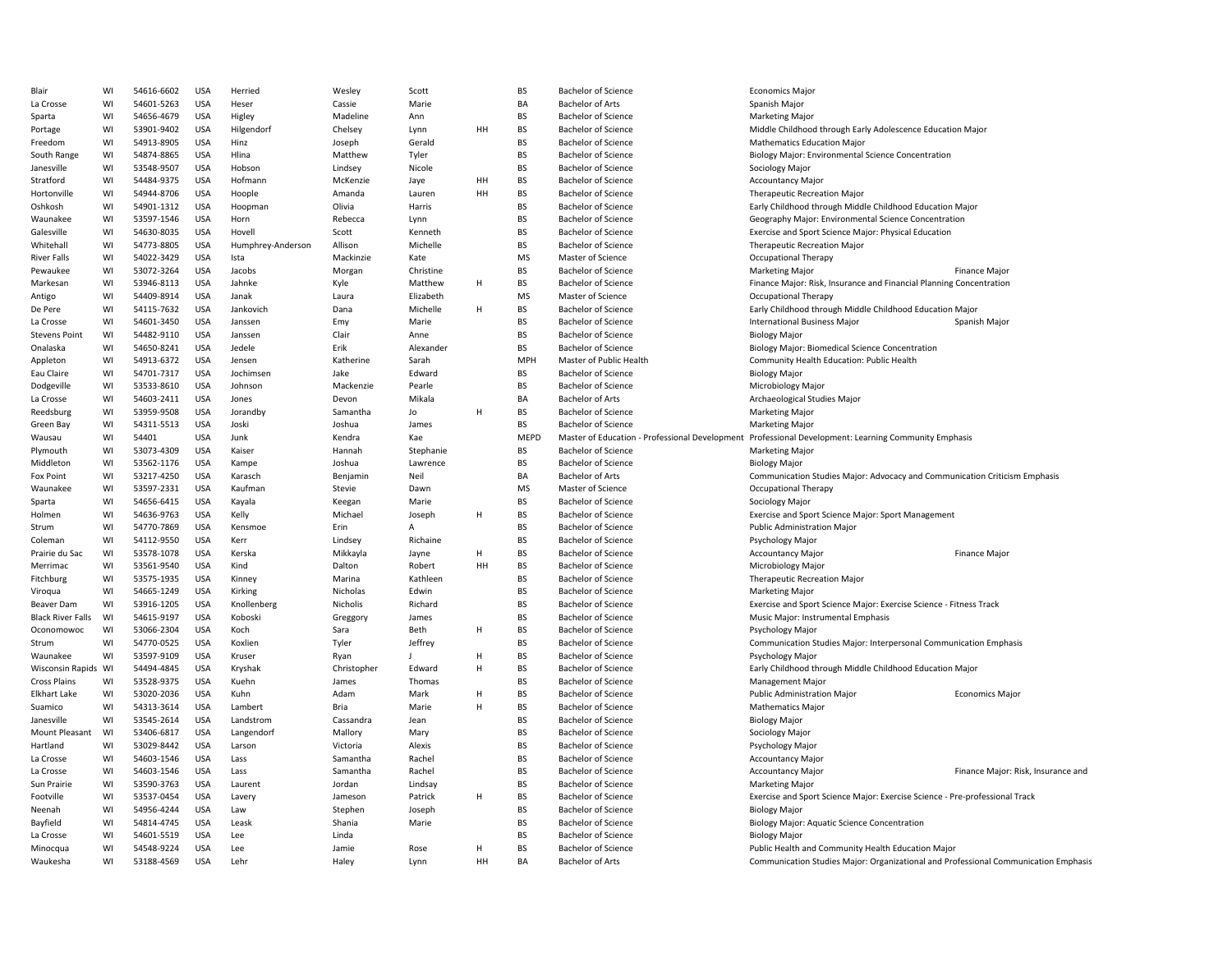| Blair                    | WI | 54616-6602 | <b>USA</b> | Herried           | Wesley      | Scott     |    | <b>BS</b>   | <b>Bachelor of Science</b>                     | <b>Economics Major</b>                                                              |                                    |
|--------------------------|----|------------|------------|-------------------|-------------|-----------|----|-------------|------------------------------------------------|-------------------------------------------------------------------------------------|------------------------------------|
| La Crosse                | WI | 54601-5263 | <b>USA</b> | Heser             | Cassie      | Marie     |    | <b>BA</b>   | <b>Bachelor of Arts</b>                        | Spanish Major                                                                       |                                    |
| Sparta                   | WI | 54656-4679 | <b>USA</b> | Higley            | Madeline    | Ann       |    | <b>BS</b>   | <b>Bachelor of Science</b>                     | <b>Marketing Major</b>                                                              |                                    |
| Portage                  | WI | 53901-9402 | <b>USA</b> | Hilgendorf        | Chelsey     | Lynn      | HH | <b>BS</b>   | <b>Bachelor of Science</b>                     | Middle Childhood through Early Adolescence Education Major                          |                                    |
| Freedom                  | WI | 54913-8905 | <b>USA</b> | Hinz              | Joseph      | Gerald    |    | <b>BS</b>   | <b>Bachelor of Science</b>                     | <b>Mathematics Education Major</b>                                                  |                                    |
| South Range              | WI | 54874-8865 | <b>USA</b> | Hlina             | Matthew     | Tyler     |    | <b>BS</b>   | <b>Bachelor of Science</b>                     | Biology Major: Environmental Science Concentration                                  |                                    |
|                          |    |            | <b>USA</b> |                   |             |           |    | <b>BS</b>   |                                                |                                                                                     |                                    |
| Janesville               | WI | 53548-9507 |            | Hobson            | Lindsey     | Nicole    |    |             | <b>Bachelor of Science</b>                     | Sociology Major                                                                     |                                    |
| Stratford                | WI | 54484-9375 | <b>USA</b> | Hofmann           | McKenzie    | Jaye      | HH | BS          | <b>Bachelor of Science</b>                     | <b>Accountancy Major</b>                                                            |                                    |
| Hortonville              | WI | 54944-8706 | <b>USA</b> | Hoople            | Amanda      | Lauren    | HH | BS          | <b>Bachelor of Science</b>                     | <b>Therapeutic Recreation Major</b>                                                 |                                    |
| Oshkosh                  | WI | 54901-1312 | <b>USA</b> | Hoopman           | Olivia      | Harris    |    | <b>BS</b>   | <b>Bachelor of Science</b>                     | Early Childhood through Middle Childhood Education Major                            |                                    |
| Waunakee                 | WI | 53597-1546 | <b>USA</b> | Horn              | Rebecca     | Lynn      |    | <b>BS</b>   | <b>Bachelor of Science</b>                     | Geography Major: Environmental Science Concentration                                |                                    |
| Galesville               | WI | 54630-8035 | <b>USA</b> | Hovell            | Scott       | Kenneth   |    | <b>BS</b>   | <b>Bachelor of Science</b>                     | Exercise and Sport Science Major: Physical Education                                |                                    |
| Whitehall                | WI | 54773-8805 | <b>USA</b> | Humphrey-Anderson | Allison     | Michelle  |    | <b>BS</b>   | <b>Bachelor of Science</b>                     | <b>Therapeutic Recreation Major</b>                                                 |                                    |
| <b>River Falls</b>       | WI | 54022-3429 | <b>USA</b> | Ista              | Mackinzie   | Kate      |    | <b>MS</b>   | Master of Science                              | <b>Occupational Therapy</b>                                                         |                                    |
| Pewaukee                 | WI | 53072-3264 | <b>USA</b> | Jacobs            | Morgan      | Christine |    | <b>BS</b>   | <b>Bachelor of Science</b>                     | <b>Marketing Major</b>                                                              | <b>Finance Major</b>               |
| Markesan                 | WI | 53946-8113 | <b>USA</b> | Jahnke            | Kyle        | Matthew   | H  | BS          | <b>Bachelor of Science</b>                     | Finance Major: Risk, Insurance and Financial Planning Concentration                 |                                    |
| Antigo                   | WI | 54409-8914 | <b>USA</b> | Janak             | Laura       | Elizabeth |    | <b>MS</b>   | Master of Science                              | Occupational Therapy                                                                |                                    |
| De Pere                  | WI | 54115-7632 | <b>USA</b> | Jankovich         | Dana        | Michelle  | H  | <b>BS</b>   | <b>Bachelor of Science</b>                     | Early Childhood through Middle Childhood Education Major                            |                                    |
| La Crosse                | WI | 54601-3450 | <b>USA</b> | Janssen           | Emy         | Marie     |    | <b>BS</b>   | <b>Bachelor of Science</b>                     | <b>International Business Major</b>                                                 | Spanish Major                      |
| <b>Stevens Point</b>     | WI | 54482-9110 | <b>USA</b> | Janssen           | Clair       | Anne      |    | <b>BS</b>   | <b>Bachelor of Science</b>                     | <b>Biology Major</b>                                                                |                                    |
| Onalaska                 | WI | 54650-8241 | <b>USA</b> | Jedele            | Erik        | Alexander |    | <b>BS</b>   | <b>Bachelor of Science</b>                     | <b>Biology Major: Biomedical Science Concentration</b>                              |                                    |
| Appleton                 | WI | 54913-6372 | <b>USA</b> | Jensen            | Katherine   | Sarah     |    | <b>MPH</b>  | Master of Public Health                        | Community Health Education: Public Health                                           |                                    |
|                          |    | 54701-7317 |            |                   |             |           |    | <b>BS</b>   |                                                |                                                                                     |                                    |
| Eau Claire               | WI |            | <b>USA</b> | Jochimsen         | Jake        | Edward    |    |             | <b>Bachelor of Science</b>                     | <b>Biology Major</b>                                                                |                                    |
| Dodgeville               | WI | 53533-8610 | <b>USA</b> | Johnson           | Mackenzie   | Pearle    |    | BS          | <b>Bachelor of Science</b>                     | Microbiology Major                                                                  |                                    |
| La Crosse                | WI | 54603-2411 | <b>USA</b> | Jones             | Devon       | Mikala    |    | BA          | <b>Bachelor of Arts</b>                        | Archaeological Studies Major                                                        |                                    |
| Reedsburg                | WI | 53959-9508 | <b>USA</b> | Jorandby          | Samantha    | Jo        | H  | <b>BS</b>   | <b>Bachelor of Science</b>                     | <b>Marketing Major</b>                                                              |                                    |
| Green Bay                | WI | 54311-5513 | <b>USA</b> | Joski             | Joshua      | James     |    | <b>BS</b>   | <b>Bachelor of Science</b>                     | <b>Marketing Major</b>                                                              |                                    |
| Wausau                   | WI | 54401      | <b>USA</b> | Junk              | Kendra      | Kae       |    | <b>MEPD</b> | Master of Education - Professional Development | Professional Development: Learning Community Emphasis                               |                                    |
| Plymouth                 | WI | 53073-4309 | <b>USA</b> | Kaiser            | Hannah      | Stephanie |    | <b>BS</b>   | <b>Bachelor of Science</b>                     | <b>Marketing Major</b>                                                              |                                    |
| Middleton                | WI | 53562-1176 | <b>USA</b> | Kampe             | Joshua      | Lawrence  |    | <b>BS</b>   | <b>Bachelor of Science</b>                     | <b>Biology Major</b>                                                                |                                    |
| Fox Point                | WI | 53217-4250 | <b>USA</b> | Karasch           | Benjamin    | Neil      |    | BA          | <b>Bachelor of Arts</b>                        | Communication Studies Major: Advocacy and Communication Criticism Emphasis          |                                    |
| Waunakee                 | WI | 53597-2331 | <b>USA</b> | Kaufman           | Stevie      | Dawn      |    | <b>MS</b>   | Master of Science                              | Occupational Therapy                                                                |                                    |
| Sparta                   | WI | 54656-6415 | <b>USA</b> | Kayala            | Keegan      | Marie     |    | BS          | <b>Bachelor of Science</b>                     | Sociology Major                                                                     |                                    |
| Holmen                   | WI | 54636-9763 | <b>USA</b> | Kelly             | Michael     | Joseph    | H  | <b>BS</b>   | <b>Bachelor of Science</b>                     | Exercise and Sport Science Major: Sport Management                                  |                                    |
| Strum                    | WI | 54770-7869 | <b>USA</b> | Kensmoe           | Erin        | A         |    | BS          | <b>Bachelor of Science</b>                     | <b>Public Administration Major</b>                                                  |                                    |
| Coleman                  | WI | 54112-9550 | <b>USA</b> | Kerr              | Lindsey     | Richaine  |    | <b>BS</b>   | <b>Bachelor of Science</b>                     | Psychology Major                                                                    |                                    |
| Prairie du Sac           | WI | 53578-1078 | <b>USA</b> | Kerska            | Mikkayla    | Jayne     | H  | <b>BS</b>   | <b>Bachelor of Science</b>                     | <b>Accountancy Major</b>                                                            | <b>Finance Major</b>               |
| Merrimac                 | WI | 53561-9540 | <b>USA</b> | Kind              | Dalton      | Robert    | HH | <b>BS</b>   | <b>Bachelor of Science</b>                     | Microbiology Major                                                                  |                                    |
| Fitchburg                | WI | 53575-1935 | <b>USA</b> | Kinney            | Marina      | Kathleen  |    | <b>BS</b>   | <b>Bachelor of Science</b>                     | <b>Therapeutic Recreation Major</b>                                                 |                                    |
| Viroqua                  | WI | 54665-1249 | <b>USA</b> | Kirking           | Nicholas    | Edwin     |    | <b>BS</b>   | <b>Bachelor of Science</b>                     | <b>Marketing Major</b>                                                              |                                    |
| Beaver Dam               | WI | 53916-1205 | <b>USA</b> | Knollenberg       | Nicholis    | Richard   |    | <b>BS</b>   | <b>Bachelor of Science</b>                     | Exercise and Sport Science Major: Exercise Science - Fitness Track                  |                                    |
|                          |    |            |            |                   |             |           |    |             |                                                |                                                                                     |                                    |
| <b>Black River Falls</b> | WI | 54615-9197 | <b>USA</b> | Koboski           | Greggory    | James     |    | BS          | <b>Bachelor of Science</b>                     | Music Major: Instrumental Emphasis                                                  |                                    |
| Oconomowoc               | WI | 53066-2304 | <b>USA</b> | Koch              | Sara        | Beth      | H  | <b>BS</b>   | <b>Bachelor of Science</b>                     | Psychology Major                                                                    |                                    |
| Strum                    | WI | 54770-0525 | <b>USA</b> | Koxlien           | Tyler       | Jeffrey   |    | BS          | <b>Bachelor of Science</b>                     | Communication Studies Major: Interpersonal Communication Emphasis                   |                                    |
| Waunakee                 | WI | 53597-9109 | <b>USA</b> | Kruser            | Ryan        |           | H  | <b>BS</b>   | <b>Bachelor of Science</b>                     | Psychology Major                                                                    |                                    |
| Wisconsin Rapids WI      |    | 54494-4845 | <b>USA</b> | Kryshak           | Christopher | Edward    | H  | <b>BS</b>   | <b>Bachelor of Science</b>                     | Early Childhood through Middle Childhood Education Major                            |                                    |
| <b>Cross Plains</b>      | WI | 53528-9375 | <b>USA</b> | Kuehn             | James       | Thomas    |    | <b>BS</b>   | <b>Bachelor of Science</b>                     | <b>Management Major</b>                                                             |                                    |
| <b>Elkhart Lake</b>      | WI | 53020-2036 | <b>USA</b> | Kuhn              | Adam        | Mark      | H  | BS          | <b>Bachelor of Science</b>                     | <b>Public Administration Major</b>                                                  | <b>Economics Major</b>             |
| Suamico                  | WI | 54313-3614 | <b>USA</b> | Lambert           | Bria        | Marie     | H  | BS          | <b>Bachelor of Science</b>                     | <b>Mathematics Major</b>                                                            |                                    |
| Janesville               | WI | 53545-2614 | <b>USA</b> | Landstrom         | Cassandra   | Jean      |    | <b>BS</b>   | <b>Bachelor of Science</b>                     | <b>Biology Major</b>                                                                |                                    |
| Mount Pleasant           | WI | 53406-6817 | <b>USA</b> | Langendorf        | Mallory     | Mary      |    | BS          | <b>Bachelor of Science</b>                     | Sociology Major                                                                     |                                    |
| Hartland                 | WI | 53029-8442 | <b>USA</b> | Larson            | Victoria    | Alexis    |    | <b>BS</b>   | <b>Bachelor of Science</b>                     | Psychology Major                                                                    |                                    |
| La Crosse                | WI | 54603-1546 | <b>USA</b> | Lass              | Samantha    | Rachel    |    | <b>BS</b>   | <b>Bachelor of Science</b>                     | <b>Accountancy Major</b>                                                            |                                    |
| La Crosse                | WI | 54603-1546 | <b>USA</b> | Lass              | Samantha    | Rachel    |    | <b>BS</b>   | <b>Bachelor of Science</b>                     | <b>Accountancy Major</b>                                                            | Finance Major: Risk, Insurance and |
| Sun Prairie              | WI | 53590-3763 | <b>USA</b> | Laurent           | Jordan      | Lindsay   |    | <b>BS</b>   | <b>Bachelor of Science</b>                     | <b>Marketing Major</b>                                                              |                                    |
| Footville                | WI | 53537-0454 | <b>USA</b> | Lavery            | Jameson     | Patrick   | H  | <b>BS</b>   | <b>Bachelor of Science</b>                     | Exercise and Sport Science Major: Exercise Science - Pre-professional Track         |                                    |
| Neenah                   | WI | 54956-4244 | <b>USA</b> | Law               | Stephen     | Joseph    |    | <b>BS</b>   | <b>Bachelor of Science</b>                     | <b>Biology Major</b>                                                                |                                    |
|                          | WI |            |            | Leask             |             | Marie     |    | <b>BS</b>   |                                                |                                                                                     |                                    |
| Bayfield                 |    | 54814-4745 | USA        |                   | Shania      |           |    |             | <b>Bachelor of Science</b>                     | Biology Major: Aquatic Science Concentration                                        |                                    |
| La Crosse                | WI | 54601-5519 | <b>USA</b> | Lee               | Linda       |           |    | BS          | <b>Bachelor of Science</b>                     | <b>Biology Major</b>                                                                |                                    |
| Minocqua                 | WI | 54548-9224 | <b>USA</b> | Lee               | Jamie       | Rose      | H  | <b>BS</b>   | <b>Bachelor of Science</b>                     | Public Health and Community Health Education Major                                  |                                    |
| Waukesha                 | WI | 53188-4569 | <b>USA</b> | Lehr              | Haley       | Lynn      | HH | <b>BA</b>   | <b>Bachelor of Arts</b>                        | Communication Studies Major: Organizational and Professional Communication Emphasis |                                    |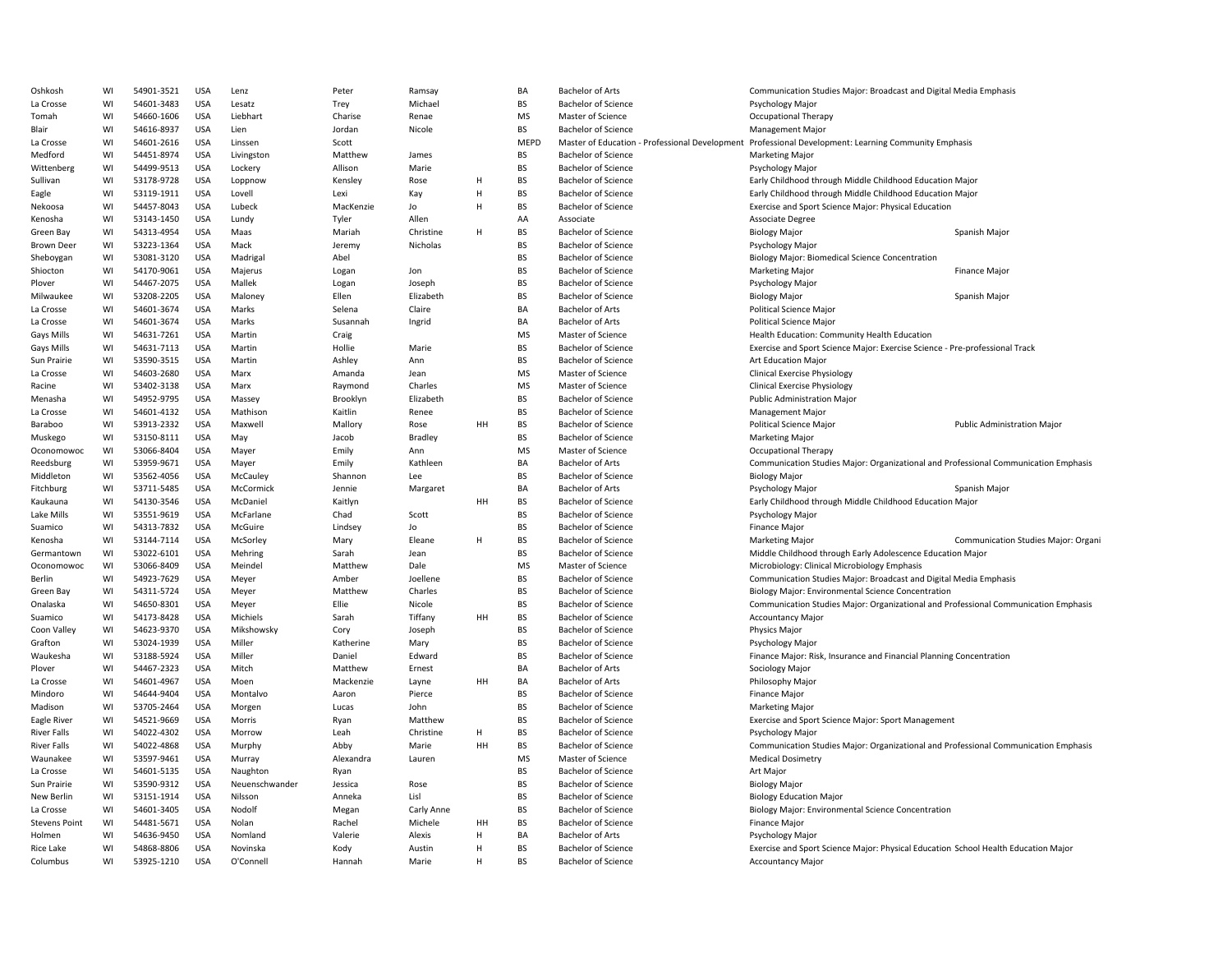| Oshkosh              | WI | 54901-3521 | <b>USA</b> | Lenz           | Peter     | Ramsay     |    | BA          | <b>Bachelor of Arts</b>    | Communication Studies Major: Broadcast and Digital Media Emphasis                                    |                                     |
|----------------------|----|------------|------------|----------------|-----------|------------|----|-------------|----------------------------|------------------------------------------------------------------------------------------------------|-------------------------------------|
| La Crosse            | WI | 54601-3483 | <b>USA</b> | Lesatz         | Trey      | Michael    |    | BS          | <b>Bachelor of Science</b> | Psychology Major                                                                                     |                                     |
| Tomah                | WI | 54660-1606 | <b>USA</b> | Liebhart       | Charise   | Renae      |    | <b>MS</b>   | Master of Science          | <b>Occupational Therapy</b>                                                                          |                                     |
| Blair                | WI | 54616-8937 | <b>USA</b> | Lien           | Jordan    | Nicole     |    | <b>BS</b>   | <b>Bachelor of Science</b> | Management Major                                                                                     |                                     |
| La Crosse            | WI | 54601-2616 | <b>USA</b> | Linssen        | Scott     |            |    | <b>MEPD</b> |                            | Master of Education - Professional Development Professional Development: Learning Community Emphasis |                                     |
| Medford              | WI | 54451-8974 | <b>USA</b> | Livingston     | Matthew   | James      |    | <b>BS</b>   | <b>Bachelor of Science</b> | <b>Marketing Major</b>                                                                               |                                     |
| Wittenberg           | WI | 54499-9513 | <b>USA</b> | Lockery        | Allison   | Marie      |    | <b>BS</b>   | <b>Bachelor of Science</b> | Psychology Major                                                                                     |                                     |
| Sullivan             | WI | 53178-9728 | <b>USA</b> | Loppnow        | Kensley   | Rose       | Н  | <b>BS</b>   | <b>Bachelor of Science</b> | Early Childhood through Middle Childhood Education Major                                             |                                     |
| Eagle                | WI | 53119-1911 | <b>USA</b> | Lovell         | Lexi      | Kay        | H  | BS          | <b>Bachelor of Science</b> | Early Childhood through Middle Childhood Education Major                                             |                                     |
| Nekoosa              | WI | 54457-8043 | <b>USA</b> | Lubeck         | MacKenzie | Jo         | H  | <b>BS</b>   | <b>Bachelor of Science</b> | Exercise and Sport Science Major: Physical Education                                                 |                                     |
| Kenosha              | WI | 53143-1450 | <b>USA</b> | Lundy          | Tyler     | Allen      |    | AA          | Associate                  | Associate Degree                                                                                     |                                     |
| Green Bay            | WI | 54313-4954 | <b>USA</b> | Maas           | Mariah    | Christine  | H  | <b>BS</b>   | <b>Bachelor of Science</b> | <b>Biology Major</b>                                                                                 | Spanish Major                       |
|                      | WI | 53223-1364 | <b>USA</b> | Mack           |           | Nicholas   |    | <b>BS</b>   | <b>Bachelor of Science</b> |                                                                                                      |                                     |
| <b>Brown Deer</b>    |    |            |            |                | Jeremy    |            |    |             |                            | Psychology Major                                                                                     |                                     |
| Sheboygan            | WI | 53081-3120 | <b>USA</b> | Madrigal       | Abel      |            |    | <b>BS</b>   | <b>Bachelor of Science</b> | Biology Major: Biomedical Science Concentration                                                      |                                     |
| Shiocton             | WI | 54170-9061 | <b>USA</b> | Majerus        | Logan     | Jon        |    | BS          | <b>Bachelor of Science</b> | <b>Marketing Major</b>                                                                               | Finance Major                       |
| Plover               | WI | 54467-2075 | USA        | Mallek         | Logan     | Joseph     |    | <b>BS</b>   | <b>Bachelor of Science</b> | Psychology Major                                                                                     |                                     |
| Milwaukee            | WI | 53208-2205 | <b>USA</b> | Maloney        | Ellen     | Elizabeth  |    | BS          | <b>Bachelor of Science</b> | <b>Biology Major</b>                                                                                 | Spanish Major                       |
| La Crosse            | WI | 54601-3674 | <b>USA</b> | Marks          | Selena    | Claire     |    | BA          | <b>Bachelor of Arts</b>    | Political Science Major                                                                              |                                     |
| La Crosse            | WI | 54601-3674 | <b>USA</b> | Marks          | Susannah  | Ingrid     |    | BA          | <b>Bachelor of Arts</b>    | <b>Political Science Major</b>                                                                       |                                     |
| Gays Mills           | WI | 54631-7261 | <b>USA</b> | Martin         | Craig     |            |    | <b>MS</b>   | Master of Science          | Health Education: Community Health Education                                                         |                                     |
| <b>Gays Mills</b>    | WI | 54631-7113 | <b>USA</b> | Martin         | Hollie    | Marie      |    | <b>BS</b>   | <b>Bachelor of Science</b> | Exercise and Sport Science Major: Exercise Science - Pre-professional Track                          |                                     |
| Sun Prairie          | WI | 53590-3515 | <b>USA</b> | Martin         | Ashley    | Ann        |    | <b>BS</b>   | <b>Bachelor of Science</b> | <b>Art Education Major</b>                                                                           |                                     |
| La Crosse            | WI | 54603-2680 | <b>USA</b> | Marx           | Amanda    | Jean       |    | MS          | Master of Science          | <b>Clinical Exercise Physiology</b>                                                                  |                                     |
| Racine               | WI | 53402-3138 | USA        | Marx           | Raymond   | Charles    |    | MS          | Master of Science          | <b>Clinical Exercise Physiology</b>                                                                  |                                     |
| Menasha              | WI | 54952-9795 | <b>USA</b> | Massey         | Brooklyn  | Elizabeth  |    | <b>BS</b>   | <b>Bachelor of Science</b> | <b>Public Administration Major</b>                                                                   |                                     |
| La Crosse            | WI | 54601-4132 | <b>USA</b> | Mathison       | Kaitlin   | Renee      |    | BS          | <b>Bachelor of Science</b> | Management Major                                                                                     |                                     |
| Baraboo              | WI | 53913-2332 | <b>USA</b> | Maxwell        | Mallory   | Rose       | HH | BS          | <b>Bachelor of Science</b> | Political Science Major                                                                              | <b>Public Administration Major</b>  |
| Muskego              | WI | 53150-8111 | <b>USA</b> | May            | Jacob     | Bradley    |    | <b>BS</b>   | <b>Bachelor of Science</b> | <b>Marketing Major</b>                                                                               |                                     |
| Oconomowoc           | WI | 53066-8404 | <b>USA</b> | Mayer          | Emily     | Ann        |    | <b>MS</b>   | Master of Science          | Occupational Therapy                                                                                 |                                     |
| Reedsburg            | WI | 53959-9671 | <b>USA</b> | Mayer          | Emily     | Kathleen   |    | BA          | <b>Bachelor of Arts</b>    | Communication Studies Major: Organizational and Professional Communication Emphasis                  |                                     |
| Middleton            | WI | 53562-4056 | <b>USA</b> | McCauley       | Shannon   | Lee        |    | <b>BS</b>   | <b>Bachelor of Science</b> | <b>Biology Major</b>                                                                                 |                                     |
| Fitchburg            | WI | 53711-5485 | <b>USA</b> | McCormick      | Jennie    | Margaret   |    | BA          | <b>Bachelor of Arts</b>    | Psychology Major                                                                                     | Spanish Major                       |
| Kaukauna             | WI | 54130-3546 | USA        | McDaniel       | Kaitlyn   |            | HH | BS          | <b>Bachelor of Science</b> | Early Childhood through Middle Childhood Education Major                                             |                                     |
| Lake Mills           | WI | 53551-9619 | <b>USA</b> | McFarlane      | Chad      | Scott      |    | BS          | <b>Bachelor of Science</b> | Psychology Major                                                                                     |                                     |
| Suamico              | WI | 54313-7832 | <b>USA</b> | McGuire        | Lindsey   | Jo         |    | BS          | <b>Bachelor of Science</b> | Finance Major                                                                                        |                                     |
| Kenosha              | WI | 53144-7114 | <b>USA</b> | McSorley       | Mary      | Eleane     | H  | BS          | <b>Bachelor of Science</b> | <b>Marketing Major</b>                                                                               | Communication Studies Major: Organi |
| Germantown           | WI | 53022-6101 | <b>USA</b> | Mehring        | Sarah     | Jean       |    | <b>BS</b>   | <b>Bachelor of Science</b> | Middle Childhood through Early Adolescence Education Major                                           |                                     |
| Oconomowoc           | WI | 53066-8409 | <b>USA</b> | Meindel        | Matthew   | Dale       |    | <b>MS</b>   | Master of Science          | Microbiology: Clinical Microbiology Emphasis                                                         |                                     |
| Berlin               | WI | 54923-7629 | <b>USA</b> | Meyer          | Amber     | Joellene   |    | <b>BS</b>   | <b>Bachelor of Science</b> | Communication Studies Major: Broadcast and Digital Media Emphasis                                    |                                     |
| Green Bay            | WI | 54311-5724 | <b>USA</b> | Meyer          | Matthew   | Charles    |    | BS          | <b>Bachelor of Science</b> | Biology Major: Environmental Science Concentration                                                   |                                     |
| Onalaska             | WI |            | USA        |                | Ellie     | Nicole     |    | <b>BS</b>   | <b>Bachelor of Science</b> |                                                                                                      |                                     |
|                      |    | 54650-8301 |            | Meyer          |           |            |    | <b>BS</b>   |                            | Communication Studies Major: Organizational and Professional Communication Emphasis                  |                                     |
| Suamico              | WI | 54173-8428 | <b>USA</b> | Michiels       | Sarah     | Tiffany    | HH |             | <b>Bachelor of Science</b> | <b>Accountancy Major</b>                                                                             |                                     |
| Coon Valley          | WI | 54623-9370 | <b>USA</b> | Mikshowsky     | Cory      | Joseph     |    | BS          | <b>Bachelor of Science</b> | Physics Major                                                                                        |                                     |
| Grafton              | WI | 53024-1939 | <b>USA</b> | Miller         | Katherine | Mary       |    | <b>BS</b>   | <b>Bachelor of Science</b> | Psychology Major                                                                                     |                                     |
| Waukesha             | WI | 53188-5924 | <b>USA</b> | Miller         | Daniel    | Edward     |    | <b>BS</b>   | <b>Bachelor of Science</b> | Finance Major: Risk, Insurance and Financial Planning Concentration                                  |                                     |
| Plover               | WI | 54467-2323 | <b>USA</b> | Mitch          | Matthew   | Ernest     |    | BA          | <b>Bachelor of Arts</b>    | Sociology Major                                                                                      |                                     |
| La Crosse            | WI | 54601-4967 | <b>USA</b> | Moen           | Mackenzie | Layne      | HН | BA          | <b>Bachelor of Arts</b>    | Philosophy Major                                                                                     |                                     |
| Mindoro              | WI | 54644-9404 | <b>USA</b> | Montalvo       | Aaron     | Pierce     |    | <b>BS</b>   | <b>Bachelor of Science</b> | <b>Finance Major</b>                                                                                 |                                     |
| Madison              | WI | 53705-2464 | USA        | Morgen         | Lucas     | John       |    | BS          | <b>Bachelor of Science</b> | <b>Marketing Major</b>                                                                               |                                     |
| Eagle River          | WI | 54521-9669 | <b>USA</b> | Morris         | Ryan      | Matthew    |    | <b>BS</b>   | <b>Bachelor of Science</b> | Exercise and Sport Science Major: Sport Management                                                   |                                     |
| <b>River Falls</b>   | WI | 54022-4302 | <b>USA</b> | Morrow         | Leah      | Christine  | H  | BS          | <b>Bachelor of Science</b> | Psychology Major                                                                                     |                                     |
| <b>River Falls</b>   | WI | 54022-4868 | <b>USA</b> | Murphy         | Abby      | Marie      | HH | BS          | <b>Bachelor of Science</b> | Communication Studies Major: Organizational and Professional Communication Emphasis                  |                                     |
| Waunakee             | WI | 53597-9461 | <b>USA</b> | Murray         | Alexandra | Lauren     |    | <b>MS</b>   | Master of Science          | <b>Medical Dosimetry</b>                                                                             |                                     |
| La Crosse            | WI | 54601-5135 | <b>USA</b> | Naughton       | Ryan      |            |    | <b>BS</b>   | <b>Bachelor of Science</b> | Art Major                                                                                            |                                     |
| Sun Prairie          | WI | 53590-9312 | <b>USA</b> | Neuenschwander | Jessica   | Rose       |    | <b>BS</b>   | <b>Bachelor of Science</b> | <b>Biology Major</b>                                                                                 |                                     |
| New Berlin           | WI | 53151-1914 | <b>USA</b> | Nilsson        | Anneka    | Lisl       |    | <b>BS</b>   | <b>Bachelor of Science</b> | <b>Biology Education Major</b>                                                                       |                                     |
| La Crosse            | WI | 54601-3405 | <b>USA</b> | Nodolf         | Megan     | Carly Anne |    | BS          | <b>Bachelor of Science</b> | Biology Major: Environmental Science Concentration                                                   |                                     |
| <b>Stevens Point</b> | WI | 54481-5671 | USA        | Nolan          | Rachel    | Michele    | HH | <b>BS</b>   | <b>Bachelor of Science</b> | <b>Finance Major</b>                                                                                 |                                     |
| Holmen               | WI | 54636-9450 | <b>USA</b> | Nomland        | Valerie   | Alexis     | H  | BA          | <b>Bachelor of Arts</b>    | Psychology Major                                                                                     |                                     |
| Rice Lake            | WI | 54868-8806 | <b>USA</b> | Novinska       | Kody      | Austin     | H  | BS          | <b>Bachelor of Science</b> | Exercise and Sport Science Major: Physical Education School Health Education Major                   |                                     |
| Columbus             | WI | 53925-1210 | <b>USA</b> | O'Connell      | Hannah    | Marie      | H  | <b>BS</b>   | <b>Bachelor of Science</b> | <b>Accountancy Major</b>                                                                             |                                     |
|                      |    |            |            |                |           |            |    |             |                            |                                                                                                      |                                     |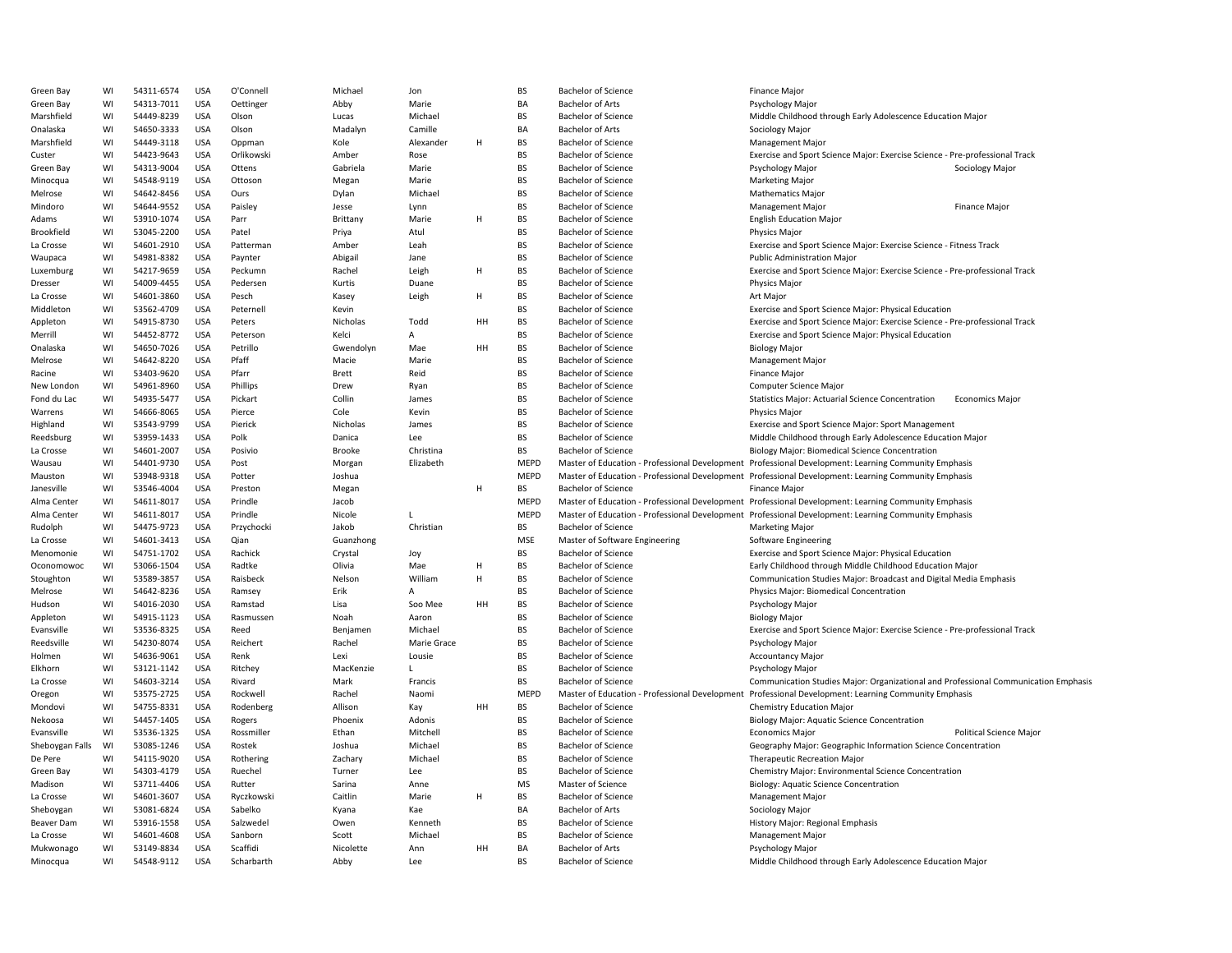| Green Bay       | WI | 54311-6574 | <b>USA</b> | O'Connell  | Michael       | Jon         |    | <b>BS</b>   | <b>Bachelor of Science</b>                     | Finance Major                                                                                        |                         |
|-----------------|----|------------|------------|------------|---------------|-------------|----|-------------|------------------------------------------------|------------------------------------------------------------------------------------------------------|-------------------------|
| Green Bay       | WI | 54313-7011 | <b>USA</b> | Oettinger  | Abby          | Marie       |    | BA          | <b>Bachelor of Arts</b>                        | <b>Psychology Major</b>                                                                              |                         |
| Marshfield      | WI | 54449-8239 | <b>USA</b> | Olson      | Lucas         | Michael     |    | <b>BS</b>   | <b>Bachelor of Science</b>                     | Middle Childhood through Early Adolescence Education Major                                           |                         |
| Onalaska        | WI | 54650-3333 | <b>USA</b> | Olson      | Madalyn       | Camille     |    | BA          | <b>Bachelor of Arts</b>                        | Sociology Major                                                                                      |                         |
| Marshfield      | WI | 54449-3118 | <b>USA</b> | Oppman     | Kole          | Alexander   | H  | BS          | <b>Bachelor of Science</b>                     | <b>Management Major</b>                                                                              |                         |
| Custer          | WI | 54423-9643 | <b>USA</b> | Orlikowski | Amber         | Rose        |    | <b>BS</b>   | <b>Bachelor of Science</b>                     | Exercise and Sport Science Major: Exercise Science - Pre-professional Track                          |                         |
| Green Bay       | WI | 54313-9004 | <b>USA</b> | Ottens     | Gabriela      | Marie       |    | <b>BS</b>   | <b>Bachelor of Science</b>                     | Psychology Major                                                                                     | Sociology Major         |
| Minocqua        | WI | 54548-9119 | <b>USA</b> | Ottoson    | Megan         | Marie       |    | <b>BS</b>   | <b>Bachelor of Science</b>                     | <b>Marketing Major</b>                                                                               |                         |
| Melrose         | WI | 54642-8456 | <b>USA</b> | Ours       | Dylan         | Michael     |    | <b>BS</b>   | <b>Bachelor of Science</b>                     | <b>Mathematics Major</b>                                                                             |                         |
| Mindoro         | WI | 54644-9552 | <b>USA</b> | Paisley    | Jesse         | Lynn        |    | BS          | <b>Bachelor of Science</b>                     | <b>Management Major</b>                                                                              | Finance Major           |
| Adams           | WI | 53910-1074 | <b>USA</b> | Parr       | Brittany      | Marie       | H  | <b>BS</b>   | <b>Bachelor of Science</b>                     | <b>English Education Major</b>                                                                       |                         |
| Brookfield      | WI | 53045-2200 | <b>USA</b> | Patel      |               | Atul        |    | BS          | <b>Bachelor of Science</b>                     | <b>Physics Major</b>                                                                                 |                         |
|                 | WI |            |            |            | Priya         |             |    | <b>BS</b>   |                                                |                                                                                                      |                         |
| La Crosse       |    | 54601-2910 | <b>USA</b> | Patterman  | Amber         | Leah        |    |             | <b>Bachelor of Science</b>                     | Exercise and Sport Science Major: Exercise Science - Fitness Track                                   |                         |
| Waupaca         | WI | 54981-8382 | <b>USA</b> | Paynter    | Abigail       | Jane        |    | <b>BS</b>   | <b>Bachelor of Science</b>                     | <b>Public Administration Major</b>                                                                   |                         |
| Luxemburg       | WI | 54217-9659 | <b>USA</b> | Peckumn    | Rachel        | Leigh       | H  | <b>BS</b>   | <b>Bachelor of Science</b>                     | Exercise and Sport Science Major: Exercise Science - Pre-professional Track                          |                         |
| Dresser         | WI | 54009-4455 | <b>USA</b> | Pedersen   | Kurtis        | Duane       |    | <b>BS</b>   | <b>Bachelor of Science</b>                     | Physics Major                                                                                        |                         |
| La Crosse       | WI | 54601-3860 | <b>USA</b> | Pesch      | Kasey         | Leigh       | H  | <b>BS</b>   | <b>Bachelor of Science</b>                     | <b>Art Major</b>                                                                                     |                         |
| Middleton       | WI | 53562-4709 | <b>USA</b> | Peternell  | Kevin         |             |    | BS          | <b>Bachelor of Science</b>                     | Exercise and Sport Science Major: Physical Education                                                 |                         |
| Appleton        | WI | 54915-8730 | <b>USA</b> | Peters     | Nicholas      | Todd        | HH | <b>BS</b>   | <b>Bachelor of Science</b>                     | Exercise and Sport Science Major: Exercise Science - Pre-professional Track                          |                         |
| Merrill         | WI | 54452-8772 | <b>USA</b> | Peterson   | Kelci         | A           |    | BS          | <b>Bachelor of Science</b>                     | Exercise and Sport Science Major: Physical Education                                                 |                         |
| Onalaska        | WI | 54650-7026 | <b>USA</b> | Petrillo   | Gwendolyn     | Mae         | HH | <b>BS</b>   | <b>Bachelor of Science</b>                     | <b>Biology Major</b>                                                                                 |                         |
| Melrose         | WI | 54642-8220 | <b>USA</b> | Pfaff      | Macie         | Marie       |    | BS          | <b>Bachelor of Science</b>                     | <b>Management Major</b>                                                                              |                         |
| Racine          | WI | 53403-9620 | <b>USA</b> | Pfarr      | Brett         | Reid        |    | <b>BS</b>   | <b>Bachelor of Science</b>                     | Finance Major                                                                                        |                         |
| New London      | WI | 54961-8960 | <b>USA</b> | Phillips   | Drew          | Ryan        |    | <b>BS</b>   | <b>Bachelor of Science</b>                     | Computer Science Major                                                                               |                         |
| Fond du Lac     | WI | 54935-5477 | <b>USA</b> | Pickart    | Collin        | James       |    | <b>BS</b>   | <b>Bachelor of Science</b>                     | <b>Statistics Major: Actuarial Science Concentration</b>                                             | <b>Economics Major</b>  |
| Warrens         | WI | 54666-8065 | <b>USA</b> | Pierce     | Cole          | Kevin       |    | <b>BS</b>   | <b>Bachelor of Science</b>                     | <b>Physics Major</b>                                                                                 |                         |
| Highland        | WI | 53543-9799 | <b>USA</b> | Pierick    | Nicholas      | James       |    | <b>BS</b>   | <b>Bachelor of Science</b>                     | Exercise and Sport Science Major: Sport Management                                                   |                         |
| Reedsburg       | WI | 53959-1433 | <b>USA</b> | Polk       | Danica        | Lee         |    | BS          | <b>Bachelor of Science</b>                     | Middle Childhood through Early Adolescence Education Major                                           |                         |
| La Crosse       | WI | 54601-2007 | <b>USA</b> | Posivio    | <b>Brooke</b> | Christina   |    | <b>BS</b>   | <b>Bachelor of Science</b>                     | <b>Biology Major: Biomedical Science Concentration</b>                                               |                         |
| Wausau          | WI | 54401-9730 | <b>USA</b> | Post       | Morgan        | Elizabeth   |    | <b>MEPD</b> | Master of Education - Professional Development | Professional Development: Learning Community Emphasis                                                |                         |
| Mauston         | WI | 53948-9318 | <b>USA</b> | Potter     | Joshua        |             |    | <b>MEPD</b> |                                                | Master of Education - Professional Development Professional Development: Learning Community Emphasis |                         |
| Janesville      | WI | 53546-4004 | <b>USA</b> | Preston    | Megan         |             | H  | <b>BS</b>   | <b>Bachelor of Science</b>                     | <b>Finance Major</b>                                                                                 |                         |
| Alma Center     | WI | 54611-8017 | <b>USA</b> | Prindle    | Jacob         |             |    | MEPD        |                                                | Master of Education - Professional Development Professional Development: Learning Community Emphasis |                         |
| Alma Center     | WI | 54611-8017 | <b>USA</b> | Prindle    | Nicole        | L           |    | MEPD        |                                                | Master of Education - Professional Development Professional Development: Learning Community Emphasis |                         |
| Rudolph         | WI | 54475-9723 | <b>USA</b> | Przychocki | Jakob         | Christian   |    | <b>BS</b>   | <b>Bachelor of Science</b>                     | <b>Marketing Major</b>                                                                               |                         |
|                 | WI | 54601-3413 | <b>USA</b> | Qian       | Guanzhong     |             |    | <b>MSE</b>  | Master of Software Engineering                 | Software Engineering                                                                                 |                         |
| La Crosse       |    |            |            |            |               |             |    |             |                                                |                                                                                                      |                         |
| Menomonie       | WI | 54751-1702 | <b>USA</b> | Rachick    | Crystal       | Joy         |    | BS          | <b>Bachelor of Science</b>                     | Exercise and Sport Science Major: Physical Education                                                 |                         |
| Oconomowoc      | WI | 53066-1504 | <b>USA</b> | Radtke     | Olivia        | Mae         | H  | <b>BS</b>   | <b>Bachelor of Science</b>                     | Early Childhood through Middle Childhood Education Major                                             |                         |
| Stoughton       | WI | 53589-3857 | <b>USA</b> | Raisbeck   | Nelson        | William     | H  | <b>BS</b>   | <b>Bachelor of Science</b>                     | Communication Studies Major: Broadcast and Digital Media Emphasis                                    |                         |
| Melrose         | WI | 54642-8236 | <b>USA</b> | Ramsey     | Erik          | A           |    | <b>BS</b>   | <b>Bachelor of Science</b>                     | Physics Major: Biomedical Concentration                                                              |                         |
| Hudson          | WI | 54016-2030 | <b>USA</b> | Ramstad    | Lisa          | Soo Mee     | HH | BS          | <b>Bachelor of Science</b>                     | Psychology Major                                                                                     |                         |
| Appleton        | WI | 54915-1123 | <b>USA</b> | Rasmussen  | Noah          | Aaron       |    | <b>BS</b>   | <b>Bachelor of Science</b>                     | <b>Biology Major</b>                                                                                 |                         |
| Evansville      | WI | 53536-8325 | <b>USA</b> | Reed       | Benjamen      | Michael     |    | BS          | <b>Bachelor of Science</b>                     | Exercise and Sport Science Major: Exercise Science - Pre-professional Track                          |                         |
| Reedsville      | WI | 54230-8074 | <b>USA</b> | Reichert   | Rachel        | Marie Grace |    | <b>BS</b>   | <b>Bachelor of Science</b>                     | Psychology Major                                                                                     |                         |
| Holmen          | WI | 54636-9061 | <b>USA</b> | Renk       | Lexi          | Lousie      |    | BS          | <b>Bachelor of Science</b>                     | <b>Accountancy Major</b>                                                                             |                         |
| Elkhorn         | WI | 53121-1142 | <b>USA</b> | Ritchey    | MacKenzie     | L.          |    | <b>BS</b>   | <b>Bachelor of Science</b>                     | Psychology Major                                                                                     |                         |
| La Crosse       | WI | 54603-3214 | <b>USA</b> | Rivard     | Mark          | Francis     |    | <b>BS</b>   | <b>Bachelor of Science</b>                     | Communication Studies Major: Organizational and Professional Communication Emphasis                  |                         |
| Oregon          | WI | 53575-2725 | <b>USA</b> | Rockwell   | Rachel        | Naomi       |    | MEPD        | Master of Education - Professional Development | Professional Development: Learning Community Emphasis                                                |                         |
| Mondovi         | WI | 54755-8331 | <b>USA</b> | Rodenberg  | Allison       | Kay         | HH | BS          | <b>Bachelor of Science</b>                     | Chemistry Education Major                                                                            |                         |
| Nekoosa         | WI | 54457-1405 | <b>USA</b> | Rogers     | Phoenix       | Adonis      |    | <b>BS</b>   | <b>Bachelor of Science</b>                     | Biology Major: Aquatic Science Concentration                                                         |                         |
| Evansville      | WI | 53536-1325 | <b>USA</b> | Rossmiller | Ethan         | Mitchell    |    | <b>BS</b>   | <b>Bachelor of Science</b>                     | <b>Economics Major</b>                                                                               | Political Science Major |
| Sheboygan Falls | WI | 53085-1246 | <b>USA</b> | Rostek     | Joshua        | Michael     |    | BS          | <b>Bachelor of Science</b>                     | Geography Major: Geographic Information Science Concentration                                        |                         |
| De Pere         | WI | 54115-9020 | <b>USA</b> | Rothering  | Zachary       | Michael     |    | <b>BS</b>   | <b>Bachelor of Science</b>                     | Therapeutic Recreation Major                                                                         |                         |
| Green Bay       | WI | 54303-4179 | <b>USA</b> | Ruechel    | Turner        | Lee         |    | <b>BS</b>   | <b>Bachelor of Science</b>                     | Chemistry Major: Environmental Science Concentration                                                 |                         |
| Madison         | WI | 53711-4406 | <b>USA</b> | Rutter     | Sarina        | Anne        |    | <b>MS</b>   | Master of Science                              | Biology: Aquatic Science Concentration                                                               |                         |
| La Crosse       | WI | 54601-3607 | <b>USA</b> | Ryczkowski | Caitlin       | Marie       | H  | <b>BS</b>   | <b>Bachelor of Science</b>                     | <b>Management Major</b>                                                                              |                         |
| Sheboygan       | WI | 53081-6824 | <b>USA</b> | Sabelko    | Kyana         | Kae         |    | BA          | <b>Bachelor of Arts</b>                        | Sociology Major                                                                                      |                         |
| Beaver Dam      | WI | 53916-1558 | <b>USA</b> | Salzwedel  | Owen          | Kenneth     |    | <b>BS</b>   | <b>Bachelor of Science</b>                     | History Major: Regional Emphasis                                                                     |                         |
| La Crosse       | WI | 54601-4608 | <b>USA</b> | Sanborn    | Scott         | Michael     |    | BS          | <b>Bachelor of Science</b>                     | <b>Management Major</b>                                                                              |                         |
| Mukwonago       | WI | 53149-8834 | <b>USA</b> | Scaffidi   | Nicolette     | Ann         | HH | BA          | <b>Bachelor of Arts</b>                        | Psychology Major                                                                                     |                         |
| Minocqua        | WI | 54548-9112 | <b>USA</b> | Scharbarth | Abby          | Lee         |    | <b>BS</b>   | <b>Bachelor of Science</b>                     | Middle Childhood through Early Adolescence Education Major                                           |                         |
|                 |    |            |            |            |               |             |    |             |                                                |                                                                                                      |                         |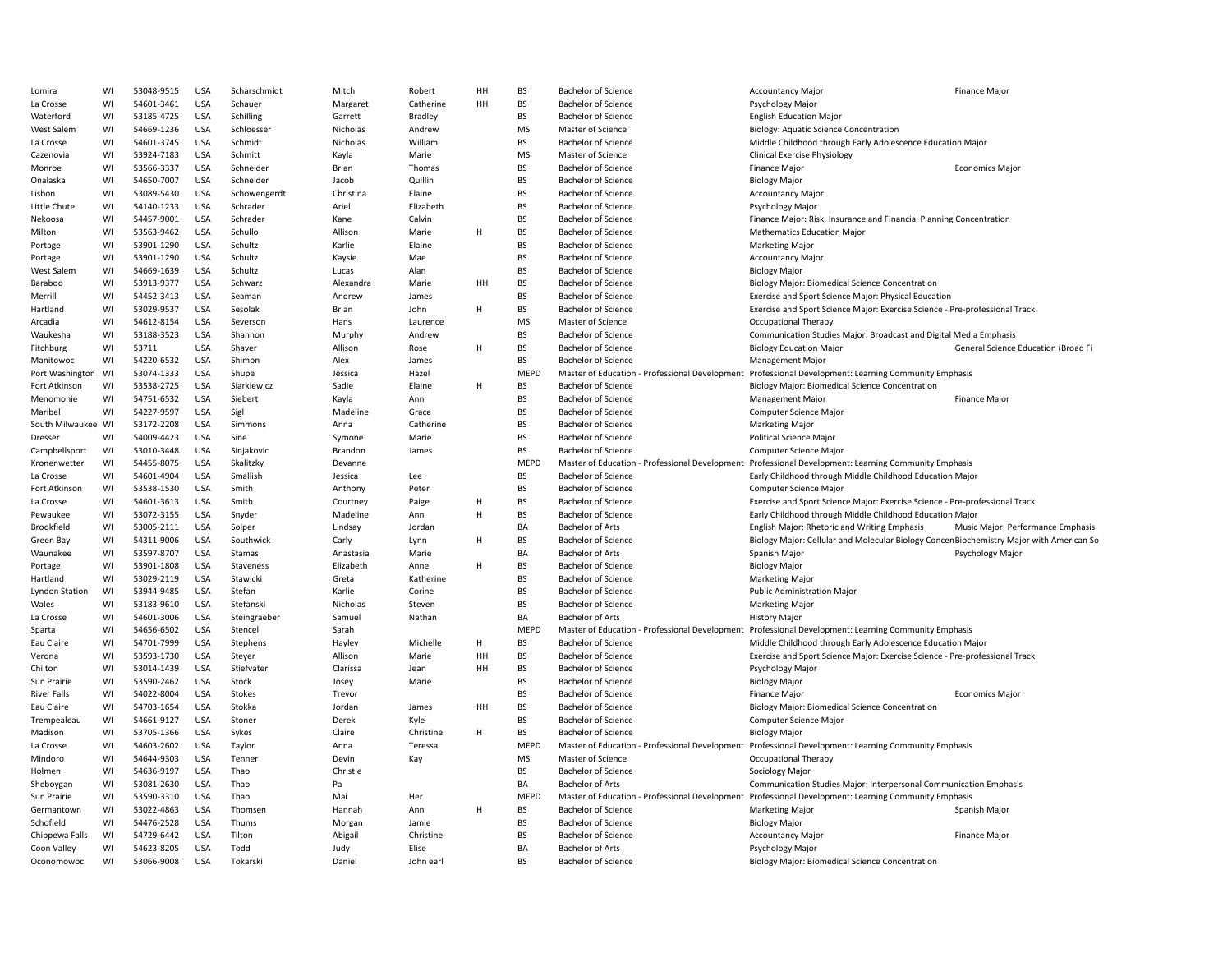| Lomira                | WI | 53048-9515 | <b>USA</b> | Scharschmidt  | Mitch     | Robert         | HH | BS          | <b>Bachelor of Science</b>                     | <b>Accountancy Major</b>                                                                             | <b>Finance Major</b>                |
|-----------------------|----|------------|------------|---------------|-----------|----------------|----|-------------|------------------------------------------------|------------------------------------------------------------------------------------------------------|-------------------------------------|
| La Crosse             | WI | 54601-3461 | <b>USA</b> | Schauer       | Margaret  | Catherine      | HH | <b>BS</b>   | <b>Bachelor of Science</b>                     | Psychology Major                                                                                     |                                     |
| Waterford             | WI | 53185-4725 | <b>USA</b> | Schilling     | Garrett   | <b>Bradley</b> |    | BS          | <b>Bachelor of Science</b>                     | <b>English Education Major</b>                                                                       |                                     |
| West Salem            | WI | 54669-1236 | <b>USA</b> | Schloesser    | Nicholas  | Andrew         |    | <b>MS</b>   | Master of Science                              | Biology: Aquatic Science Concentration                                                               |                                     |
| La Crosse             | WI | 54601-3745 | <b>USA</b> | Schmidt       | Nicholas  | William        |    | <b>BS</b>   | <b>Bachelor of Science</b>                     | Middle Childhood through Early Adolescence Education Major                                           |                                     |
| Cazenovia             | WI | 53924-7183 | <b>USA</b> | Schmitt       | Kayla     | Marie          |    | <b>MS</b>   | Master of Science                              | <b>Clinical Exercise Physiology</b>                                                                  |                                     |
| Monroe                | WI | 53566-3337 | <b>USA</b> | Schneider     | Brian     | Thomas         |    | <b>BS</b>   | <b>Bachelor of Science</b>                     | <b>Finance Major</b>                                                                                 | <b>Economics Major</b>              |
| Onalaska              | WI | 54650-7007 | <b>USA</b> | Schneider     | Jacob     | Quillin        |    | <b>BS</b>   | <b>Bachelor of Science</b>                     | <b>Biology Major</b>                                                                                 |                                     |
|                       |    |            |            |               |           |                |    |             |                                                |                                                                                                      |                                     |
| Lisbon                | WI | 53089-5430 | <b>USA</b> | Schowengerdt  | Christina | Elaine         |    | <b>BS</b>   | <b>Bachelor of Science</b>                     | <b>Accountancy Major</b>                                                                             |                                     |
| Little Chute          | WI | 54140-1233 | <b>USA</b> | Schrader      | Ariel     | Elizabeth      |    | BS          | <b>Bachelor of Science</b>                     | Psychology Major                                                                                     |                                     |
| Nekoosa               | WI | 54457-9001 | <b>USA</b> | Schrader      | Kane      | Calvin         |    | <b>BS</b>   | <b>Bachelor of Science</b>                     | Finance Major: Risk, Insurance and Financial Planning Concentration                                  |                                     |
| Milton                | WI | 53563-9462 | <b>USA</b> | Schullo       | Allison   | Marie          | H  | <b>BS</b>   | <b>Bachelor of Science</b>                     | <b>Mathematics Education Major</b>                                                                   |                                     |
| Portage               | WI | 53901-1290 | <b>USA</b> | Schultz       | Karlie    | Elaine         |    | BS          | <b>Bachelor of Science</b>                     | <b>Marketing Major</b>                                                                               |                                     |
| Portage               | WI | 53901-1290 | <b>USA</b> | Schultz       | Kaysie    | Mae            |    | <b>BS</b>   | <b>Bachelor of Science</b>                     | <b>Accountancy Major</b>                                                                             |                                     |
| West Salem            | WI | 54669-1639 | <b>USA</b> | Schultz       | Lucas     | Alan           |    | <b>BS</b>   | <b>Bachelor of Science</b>                     | <b>Biology Major</b>                                                                                 |                                     |
| Baraboo               | WI | 53913-9377 | <b>USA</b> | Schwarz       | Alexandra | Marie          | HH | <b>BS</b>   | <b>Bachelor of Science</b>                     | Biology Major: Biomedical Science Concentration                                                      |                                     |
| Merrill               | WI | 54452-3413 | <b>USA</b> | Seaman        | Andrew    | James          |    | <b>BS</b>   | <b>Bachelor of Science</b>                     | Exercise and Sport Science Major: Physical Education                                                 |                                     |
| Hartland              | WI | 53029-9537 | <b>USA</b> | Sesolak       | Brian     | John           | H  | <b>BS</b>   | <b>Bachelor of Science</b>                     | Exercise and Sport Science Major: Exercise Science - Pre-professional Track                          |                                     |
| Arcadia               | WI | 54612-8154 | <b>USA</b> | Severson      | Hans      | Laurence       |    | <b>MS</b>   | Master of Science                              | Occupational Therapy                                                                                 |                                     |
| Waukesha              | WI | 53188-3523 | <b>USA</b> | Shannon       | Murphy    | Andrew         |    | <b>BS</b>   | <b>Bachelor of Science</b>                     | Communication Studies Major: Broadcast and Digital Media Emphasis                                    |                                     |
| Fitchburg             | WI | 53711      | <b>USA</b> | Shaver        | Allison   | Rose           | H  | <b>BS</b>   | <b>Bachelor of Science</b>                     | <b>Biology Education Major</b>                                                                       | General Science Education (Broad Fi |
| Manitowoc             | WI | 54220-6532 | <b>USA</b> | Shimon        | Alex      | James          |    | BS          | <b>Bachelor of Science</b>                     | Management Major                                                                                     |                                     |
| Port Washington       | WI | 53074-1333 | <b>USA</b> | Shupe         | Jessica   | Hazel          |    | MEPD        |                                                | Master of Education - Professional Development Professional Development: Learning Community Emphasis |                                     |
|                       | WI |            |            |               | Sadie     | Elaine         | H  |             | <b>Bachelor of Science</b>                     |                                                                                                      |                                     |
| Fort Atkinson         |    | 53538-2725 | <b>USA</b> | Siarkiewicz   |           |                |    | BS          |                                                | <b>Biology Major: Biomedical Science Concentration</b>                                               |                                     |
| Menomonie             | WI | 54751-6532 | <b>USA</b> | Siebert       | Kayla     | Ann            |    | <b>BS</b>   | <b>Bachelor of Science</b>                     | Management Major                                                                                     | <b>Finance Major</b>                |
| Maribel               | WI | 54227-9597 | <b>USA</b> | Sigl          | Madeline  | Grace          |    | <b>BS</b>   | <b>Bachelor of Science</b>                     | <b>Computer Science Major</b>                                                                        |                                     |
| South Milwaukee WI    |    | 53172-2208 | <b>USA</b> | Simmons       | Anna      | Catherine      |    | <b>BS</b>   | <b>Bachelor of Science</b>                     | Marketing Major                                                                                      |                                     |
| Dresser               | WI | 54009-4423 | <b>USA</b> | Sine          | Symone    | Marie          |    | BS          | <b>Bachelor of Science</b>                     | <b>Political Science Major</b>                                                                       |                                     |
| Campbellsport         | WI | 53010-3448 | <b>USA</b> | Sinjakovic    | Brandon   | James          |    | <b>BS</b>   | <b>Bachelor of Science</b>                     | Computer Science Major                                                                               |                                     |
| Kronenwetter          | WI | 54455-8075 | <b>USA</b> | Skalitzky     | Devanne   |                |    | MEPD        | Master of Education - Professional Development | Professional Development: Learning Community Emphasis                                                |                                     |
| La Crosse             | WI | 54601-4904 | <b>USA</b> | Smallish      | Jessica   | Lee            |    | BS          | <b>Bachelor of Science</b>                     | Early Childhood through Middle Childhood Education Major                                             |                                     |
| Fort Atkinson         | WI | 53538-1530 | <b>USA</b> | Smith         | Anthony   | Peter          |    | <b>BS</b>   | <b>Bachelor of Science</b>                     | Computer Science Major                                                                               |                                     |
| La Crosse             | WI | 54601-3613 | <b>USA</b> | Smith         | Courtney  | Paige          | H  | <b>BS</b>   | <b>Bachelor of Science</b>                     | Exercise and Sport Science Major: Exercise Science - Pre-professional Track                          |                                     |
| Pewaukee              | WI | 53072-3155 | <b>USA</b> | Snyder        | Madeline  | Ann            | H  | <b>BS</b>   | <b>Bachelor of Science</b>                     | Early Childhood through Middle Childhood Education Major                                             |                                     |
| Brookfield            | WI | 53005-2111 | <b>USA</b> | Solper        | Lindsay   | Jordan         |    | BA          | <b>Bachelor of Arts</b>                        | English Major: Rhetoric and Writing Emphasis                                                         | Music Major: Performance Emphasis   |
| Green Bay             | WI | 54311-9006 | <b>USA</b> | Southwick     | Carly     | Lynn           | H  | <b>BS</b>   | <b>Bachelor of Science</b>                     | Biology Major: Cellular and Molecular Biology Concen Biochemistry Major with American So             |                                     |
| Waunakee              | WI | 53597-8707 | <b>USA</b> | Stamas        | Anastasia | Marie          |    | BA          | <b>Bachelor of Arts</b>                        | Spanish Major                                                                                        | Psychology Major                    |
| Portage               | WI | 53901-1808 | <b>USA</b> | Staveness     | Elizabeth | Anne           | H  | BS          | <b>Bachelor of Science</b>                     | <b>Biology Major</b>                                                                                 |                                     |
| Hartland              | WI | 53029-2119 | <b>USA</b> | Stawicki      | Greta     | Katherine      |    | <b>BS</b>   | <b>Bachelor of Science</b>                     | <b>Marketing Major</b>                                                                               |                                     |
| <b>Lyndon Station</b> | WI | 53944-9485 | <b>USA</b> | Stefan        | Karlie    | Corine         |    | <b>BS</b>   | <b>Bachelor of Science</b>                     | <b>Public Administration Major</b>                                                                   |                                     |
|                       |    |            |            |               |           |                |    | <b>BS</b>   |                                                |                                                                                                      |                                     |
| Wales                 | WI | 53183-9610 | <b>USA</b> | Stefanski     | Nicholas  | Steven         |    |             | <b>Bachelor of Science</b>                     | <b>Marketing Major</b>                                                                               |                                     |
| La Crosse             | WI | 54601-3006 | <b>USA</b> | Steingraeber  | Samuel    | Nathan         |    | BA          | <b>Bachelor of Arts</b>                        | <b>History Major</b>                                                                                 |                                     |
| Sparta                | WI | 54656-6502 | <b>USA</b> | Stencel       | Sarah     |                |    | <b>MEPD</b> | Master of Education - Professional Development | Professional Development: Learning Community Emphasis                                                |                                     |
| Eau Claire            | WI | 54701-7999 | <b>USA</b> | Stephens      | Hayley    | Michelle       | H  | <b>BS</b>   | <b>Bachelor of Science</b>                     | Middle Childhood through Early Adolescence Education Major                                           |                                     |
| Verona                | WI | 53593-1730 | <b>USA</b> | Steyer        | Allison   | Marie          | HH | <b>BS</b>   | <b>Bachelor of Science</b>                     | Exercise and Sport Science Major: Exercise Science - Pre-professional Track                          |                                     |
| Chilton               | WI | 53014-1439 | <b>USA</b> | Stiefvater    | Clarissa  | Jean           | HH | <b>BS</b>   | <b>Bachelor of Science</b>                     | Psychology Major                                                                                     |                                     |
| Sun Prairie           | WI | 53590-2462 | <b>USA</b> | Stock         | Josey     | Marie          |    | <b>BS</b>   | <b>Bachelor of Science</b>                     | <b>Biology Major</b>                                                                                 |                                     |
| River Falls           | WI | 54022-8004 | <b>USA</b> | <b>Stokes</b> | Trevor    |                |    | BS          | <b>Bachelor of Science</b>                     | Finance Major                                                                                        | <b>Economics Major</b>              |
| Eau Claire            | WI | 54703-1654 | <b>USA</b> | Stokka        | Jordan    | James          | HH | <b>BS</b>   | <b>Bachelor of Science</b>                     | <b>Biology Major: Biomedical Science Concentration</b>                                               |                                     |
| Trempealeau           | WI | 54661-9127 | <b>USA</b> | Stoner        | Derek     | Kyle           |    | BS          | <b>Bachelor of Science</b>                     | Computer Science Major                                                                               |                                     |
| Madison               | WI | 53705-1366 | <b>USA</b> | Sykes         | Claire    | Christine      | H  | <b>BS</b>   | <b>Bachelor of Science</b>                     | <b>Biology Major</b>                                                                                 |                                     |
| La Crosse             | WI | 54603-2602 | <b>USA</b> | Taylor        | Anna      | Teressa        |    | MEPD        |                                                | Master of Education - Professional Development Professional Development: Learning Community Emphasis |                                     |
| Mindoro               | WI | 54644-9303 | <b>USA</b> | Tenner        | Devin     | Kay            |    | MS          | Master of Science                              | Occupational Therapy                                                                                 |                                     |
| Holmen                | WI | 54636-9197 | <b>USA</b> | Thao          | Christie  |                |    | <b>BS</b>   | <b>Bachelor of Science</b>                     | Sociology Major                                                                                      |                                     |
| Sheboygan             | WI | 53081-2630 | <b>USA</b> | Thao          | Pa        |                |    | BA          | <b>Bachelor of Arts</b>                        | Communication Studies Major: Interpersonal Communication Emphasis                                    |                                     |
| Sun Prairie           | WI | 53590-3310 | <b>USA</b> | Thao          | Mai       | Her            |    | MEPD        |                                                | Master of Education - Professional Development Professional Development: Learning Community Emphasis |                                     |
| Germantown            | WI | 53022-4863 | <b>USA</b> | Thomsen       | Hannah    | Ann            | H  | BS          | <b>Bachelor of Science</b>                     | <b>Marketing Major</b>                                                                               | Spanish Major                       |
| Schofield             | WI | 54476-2528 | USA        | Thums         | Morgan    | Jamie          |    | <b>BS</b>   | <b>Bachelor of Science</b>                     | <b>Biology Major</b>                                                                                 |                                     |
|                       |    |            |            |               |           |                |    | <b>BS</b>   |                                                |                                                                                                      |                                     |
| Chippewa Falls        | WI | 54729-6442 | <b>USA</b> | Tilton        | Abigail   | Christine      |    |             | <b>Bachelor of Science</b>                     | <b>Accountancy Major</b>                                                                             | <b>Finance Major</b>                |
| Coon Valley           | WI | 54623-8205 | <b>USA</b> | Todd          | Judy      | Elise          |    | BA          | <b>Bachelor of Arts</b>                        | Psychology Major                                                                                     |                                     |
| Oconomowoc            | WI | 53066-9008 | <b>USA</b> | Tokarski      | Daniel    | John earl      |    | <b>BS</b>   | <b>Bachelor of Science</b>                     | Biology Major: Biomedical Science Concentration                                                      |                                     |